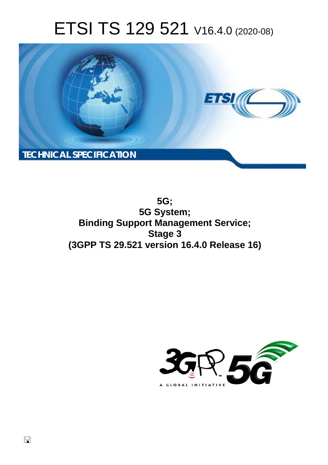# ETSI TS 129 521 V16.4.0 (2020-08)



**5G; 5G System; Binding Support Management Service; Stage 3 (3GPP TS 29.521 version 16.4.0 Release 16)** 

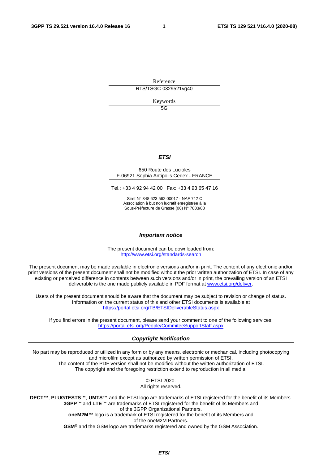Reference RTS/TSGC-0329521vg40

Keywords

5G

#### *ETSI*

#### 650 Route des Lucioles F-06921 Sophia Antipolis Cedex - FRANCE

Tel.: +33 4 92 94 42 00 Fax: +33 4 93 65 47 16

Siret N° 348 623 562 00017 - NAF 742 C Association à but non lucratif enregistrée à la Sous-Préfecture de Grasse (06) N° 7803/88

#### *Important notice*

The present document can be downloaded from: <http://www.etsi.org/standards-search>

The present document may be made available in electronic versions and/or in print. The content of any electronic and/or print versions of the present document shall not be modified without the prior written authorization of ETSI. In case of any existing or perceived difference in contents between such versions and/or in print, the prevailing version of an ETSI deliverable is the one made publicly available in PDF format at [www.etsi.org/deliver.](http://www.etsi.org/deliver)

Users of the present document should be aware that the document may be subject to revision or change of status. Information on the current status of this and other ETSI documents is available at <https://portal.etsi.org/TB/ETSIDeliverableStatus.aspx>

If you find errors in the present document, please send your comment to one of the following services: <https://portal.etsi.org/People/CommiteeSupportStaff.aspx>

#### *Copyright Notification*

No part may be reproduced or utilized in any form or by any means, electronic or mechanical, including photocopying and microfilm except as authorized by written permission of ETSI. The content of the PDF version shall not be modified without the written authorization of ETSI. The copyright and the foregoing restriction extend to reproduction in all media.

> © ETSI 2020. All rights reserved.

**DECT™**, **PLUGTESTS™**, **UMTS™** and the ETSI logo are trademarks of ETSI registered for the benefit of its Members. **3GPP™** and **LTE™** are trademarks of ETSI registered for the benefit of its Members and of the 3GPP Organizational Partners. **oneM2M™** logo is a trademark of ETSI registered for the benefit of its Members and of the oneM2M Partners. **GSM®** and the GSM logo are trademarks registered and owned by the GSM Association.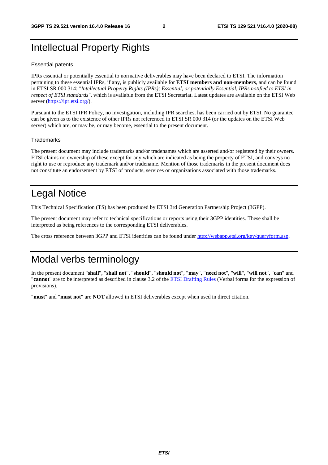# Intellectual Property Rights

#### Essential patents

IPRs essential or potentially essential to normative deliverables may have been declared to ETSI. The information pertaining to these essential IPRs, if any, is publicly available for **ETSI members and non-members**, and can be found in ETSI SR 000 314: *"Intellectual Property Rights (IPRs); Essential, or potentially Essential, IPRs notified to ETSI in respect of ETSI standards"*, which is available from the ETSI Secretariat. Latest updates are available on the ETSI Web server [\(https://ipr.etsi.org/](https://ipr.etsi.org/)).

Pursuant to the ETSI IPR Policy, no investigation, including IPR searches, has been carried out by ETSI. No guarantee can be given as to the existence of other IPRs not referenced in ETSI SR 000 314 (or the updates on the ETSI Web server) which are, or may be, or may become, essential to the present document.

#### **Trademarks**

The present document may include trademarks and/or tradenames which are asserted and/or registered by their owners. ETSI claims no ownership of these except for any which are indicated as being the property of ETSI, and conveys no right to use or reproduce any trademark and/or tradename. Mention of those trademarks in the present document does not constitute an endorsement by ETSI of products, services or organizations associated with those trademarks.

# Legal Notice

This Technical Specification (TS) has been produced by ETSI 3rd Generation Partnership Project (3GPP).

The present document may refer to technical specifications or reports using their 3GPP identities. These shall be interpreted as being references to the corresponding ETSI deliverables.

The cross reference between 3GPP and ETSI identities can be found under<http://webapp.etsi.org/key/queryform.asp>.

# Modal verbs terminology

In the present document "**shall**", "**shall not**", "**should**", "**should not**", "**may**", "**need not**", "**will**", "**will not**", "**can**" and "**cannot**" are to be interpreted as described in clause 3.2 of the [ETSI Drafting Rules](https://portal.etsi.org/Services/editHelp!/Howtostart/ETSIDraftingRules.aspx) (Verbal forms for the expression of provisions).

"**must**" and "**must not**" are **NOT** allowed in ETSI deliverables except when used in direct citation.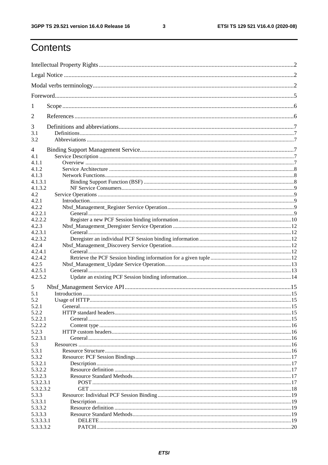$\mathbf{3}$ 

# Contents

| 1              |         |  |
|----------------|---------|--|
| $\overline{2}$ |         |  |
| 3              |         |  |
| 3.1<br>3.2     |         |  |
|                |         |  |
| 4<br>4.1       |         |  |
| 4.1.1          |         |  |
| 4.1.2          |         |  |
| 4.1.3          |         |  |
| 4.1.3.1        |         |  |
| 4.1.3.2        |         |  |
| 4.2            |         |  |
| 4.2.1          |         |  |
| 4.2.2          |         |  |
| 4.2.2.1        |         |  |
| 4.2.2.2        |         |  |
| 4.2.3          |         |  |
| 4.2.3.1        |         |  |
| 4.2.3.2        |         |  |
| 4.2.4          |         |  |
| 4.2.4.1        |         |  |
| 4.2.4.2        |         |  |
| 4.2.5          |         |  |
| 4.2.5.1        |         |  |
| 4.2.5.2        |         |  |
| 5              |         |  |
| 5.1            |         |  |
| 5.2            |         |  |
| 5.2.1          | General |  |
| 5.2.2          |         |  |
| 5.2.2.1        |         |  |
| 5.2.2.2        |         |  |
| 5.2.3          |         |  |
| 5.2.3.1        |         |  |
| 5.3            |         |  |
| 5.3.1          |         |  |
| 5.3.2          |         |  |
| 5.3.2.1        |         |  |
| 5.3.2.2        |         |  |
| 5.3.2.3        |         |  |
| 5.3.2.3.1      |         |  |
| 5.3.2.3.2      |         |  |
| 5.3.3          |         |  |
| 5.3.3.1        |         |  |
| 5.3.3.2        |         |  |
| 5.3.3.3        |         |  |
| 5.3.3.3.1      |         |  |
| 5.3.3.3.2      |         |  |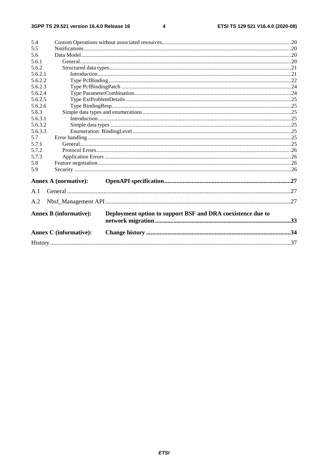#### $\overline{\mathbf{4}}$

| 5.4     |                               |                                                             |  |
|---------|-------------------------------|-------------------------------------------------------------|--|
| 5.5     |                               |                                                             |  |
| 5.6     |                               |                                                             |  |
| 5.6.1   |                               |                                                             |  |
| 5.6.2   |                               |                                                             |  |
| 5.6.2.1 |                               |                                                             |  |
| 5.6.2.2 |                               |                                                             |  |
| 5.6.2.3 |                               |                                                             |  |
| 5.6.2.4 |                               |                                                             |  |
| 5.6.2.5 |                               |                                                             |  |
| 5.6.2.6 |                               |                                                             |  |
| 5.6.3   |                               |                                                             |  |
| 5.6.3.1 |                               |                                                             |  |
| 5.6.3.2 |                               |                                                             |  |
| 5.6.3.3 |                               |                                                             |  |
| 5.7     |                               |                                                             |  |
| 5.7.1   |                               |                                                             |  |
| 5.7.2   |                               |                                                             |  |
| 5.7.3   |                               |                                                             |  |
| 5.8     |                               |                                                             |  |
| 5.9     |                               |                                                             |  |
|         |                               |                                                             |  |
|         | <b>Annex A (normative):</b>   |                                                             |  |
| A.1     |                               |                                                             |  |
| A.2     |                               |                                                             |  |
|         | <b>Annex B</b> (informative): | Deployment option to support BSF and DRA coexistence due to |  |
|         |                               |                                                             |  |
|         | <b>Annex C</b> (informative): |                                                             |  |
|         |                               |                                                             |  |
|         |                               |                                                             |  |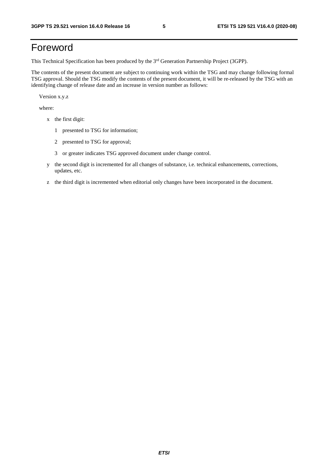# Foreword

This Technical Specification has been produced by the 3<sup>rd</sup> Generation Partnership Project (3GPP).

The contents of the present document are subject to continuing work within the TSG and may change following formal TSG approval. Should the TSG modify the contents of the present document, it will be re-released by the TSG with an identifying change of release date and an increase in version number as follows:

Version x.y.z

where:

- x the first digit:
	- 1 presented to TSG for information;
	- 2 presented to TSG for approval;
	- 3 or greater indicates TSG approved document under change control.
- y the second digit is incremented for all changes of substance, i.e. technical enhancements, corrections, updates, etc.
- z the third digit is incremented when editorial only changes have been incorporated in the document.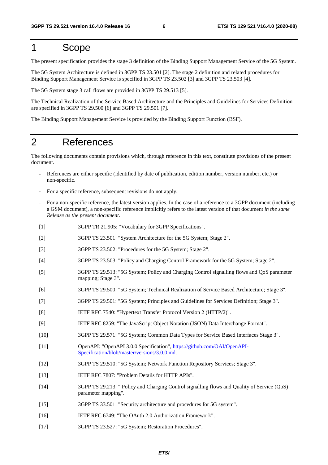### 1 Scope

The present specification provides the stage 3 definition of the Binding Support Management Service of the 5G System.

The 5G System Architecture is defined in 3GPP TS 23.501 [2]. The stage 2 definition and related procedures for Binding Support Management Service is specified in 3GPP TS 23.502 [3] and 3GPP TS 23.503 [4].

The 5G System stage 3 call flows are provided in 3GPP TS 29.513 [5].

The Technical Realization of the Service Based Architecture and the Principles and Guidelines for Services Definition are specified in 3GPP TS 29.500 [6] and 3GPP TS 29.501 [7].

The Binding Support Management Service is provided by the Binding Support Function (BSF).

### 2 References

The following documents contain provisions which, through reference in this text, constitute provisions of the present document.

- References are either specific (identified by date of publication, edition number, version number, etc.) or non-specific.
- For a specific reference, subsequent revisions do not apply.
- For a non-specific reference, the latest version applies. In the case of a reference to a 3GPP document (including a GSM document), a non-specific reference implicitly refers to the latest version of that document *in the same Release as the present document*.
- [1] 3GPP TR 21.905: "Vocabulary for 3GPP Specifications".
- [2] 3GPP TS 23.501: "System Architecture for the 5G System; Stage 2".
- [3] 3GPP TS 23.502: "Procedures for the 5G System; Stage 2".
- [4] 3GPP TS 23.503: "Policy and Charging Control Framework for the 5G System; Stage 2".
- [5] 3GPP TS 29.513: "5G System; Policy and Charging Control signalling flows and QoS parameter mapping; Stage 3".
- [6] 3GPP TS 29.500: "5G System; Technical Realization of Service Based Architecture; Stage 3".
- [7] 3GPP TS 29.501: "5G System; Principles and Guidelines for Services Definition; Stage 3".
- [8] IETF RFC 7540: "Hypertext Transfer Protocol Version 2 (HTTP/2)".
- [9] IETF RFC 8259: "The JavaScript Object Notation (JSON) Data Interchange Format".
- [10] 3GPP TS 29.571: "5G System; Common Data Types for Service Based Interfaces Stage 3".
- [11] OpenAPI: "OpenAPI 3.0.0 Specification", [https://github.com/OAI/OpenAPI](https://github.com/OAI/OpenAPI-Specification/blob/master/versions/3.0.0.md)-[Specification/blob/master/versions/3.0.0.md](https://github.com/OAI/OpenAPI-Specification/blob/master/versions/3.0.0.md).
- [12] 3GPP TS 29.510: "5G System; Network Function Repository Services; Stage 3".
- [13] IETF RFC 7807: "Problem Details for HTTP APIs".
- [14] 3GPP TS 29.213: " Policy and Charging Control signalling flows and Quality of Service (QoS) parameter mapping".
- [15] 3GPP TS 33.501: "Security architecture and procedures for 5G system".
- [16] IETF RFC 6749: "The OAuth 2.0 Authorization Framework".
- [17] 3GPP TS 23.527: "5G System; Restoration Procedures".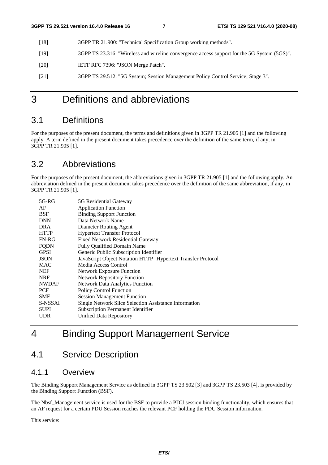- [18] 3GPP TR 21.900: "Technical Specification Group working methods".
- [19] 3GPP TS 23.316: "Wireless and wireline convergence access support for the 5G System (5GS)".
- [20] **IETF RFC 7396: "JSON Merge Patch".**
- [21] 3GPP TS 29.512: "5G System; Session Management Policy Control Service; Stage 3".

# 3 Definitions and abbreviations

### 3.1 Definitions

For the purposes of the present document, the terms and definitions given in 3GPP TR 21.905 [1] and the following apply. A term defined in the present document takes precedence over the definition of the same term, if any, in 3GPP TR 21.905 [1].

### 3.2 Abbreviations

For the purposes of the present document, the abbreviations given in 3GPP TR 21.905 [1] and the following apply. An abbreviation defined in the present document takes precedence over the definition of the same abbreviation, if any, in 3GPP TR 21.905 [1].

| $5G-RG$      | 5G Residential Gateway                                      |
|--------------|-------------------------------------------------------------|
| AF           | <b>Application Function</b>                                 |
| <b>BSF</b>   | <b>Binding Support Function</b>                             |
| <b>DNN</b>   | Data Network Name                                           |
| DRA          | Diameter Routing Agent                                      |
| <b>HTTP</b>  | <b>Hypertext Transfer Protocol</b>                          |
| $FN-RG$      | <b>Fixed Network Residential Gateway</b>                    |
| <b>FQDN</b>  | <b>Fully Qualified Domain Name</b>                          |
| <b>GPSI</b>  | Generic Public Subscription Identifier                      |
| <b>JSON</b>  | JavaScript Object Notation HTTP Hypertext Transfer Protocol |
| <b>MAC</b>   | Media Access Control                                        |
| <b>NEF</b>   | <b>Network Exposure Function</b>                            |
| <b>NRF</b>   | <b>Network Repository Function</b>                          |
| <b>NWDAF</b> | <b>Network Data Analytics Function</b>                      |
| PCF          | <b>Policy Control Function</b>                              |
| <b>SMF</b>   | <b>Session Management Function</b>                          |
| S-NSSAI      | Single Network Slice Selection Assistance Information       |
| <b>SUPI</b>  | <b>Subscription Permanent Identifier</b>                    |
| UDR.         | Unified Data Repository                                     |
|              |                                                             |

# 4 Binding Support Management Service

### 4.1 Service Description

### 4.1.1 Overview

The Binding Support Management Service as defined in 3GPP TS 23.502 [3] and 3GPP TS 23.503 [4], is provided by the Binding Support Function (BSF).

The Nbsf Management service is used for the BSF to provide a PDU session binding functionality, which ensures that an AF request for a certain PDU Session reaches the relevant PCF holding the PDU Session information.

This service: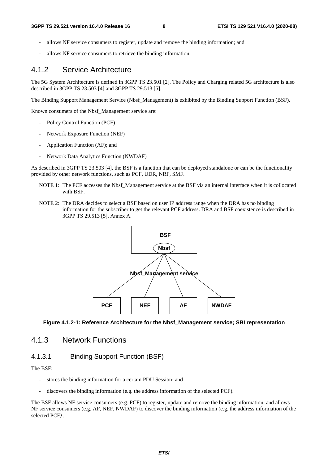- allows NF service consumers to register, update and remove the binding information; and
- allows NF service consumers to retrieve the binding information.

### 4.1.2 Service Architecture

The 5G System Architecture is defined in 3GPP TS 23.501 [2]. The Policy and Charging related 5G architecture is also described in 3GPP TS 23.503 [4] and 3GPP TS 29.513 [5].

The Binding Support Management Service (Nbsf\_Management) is exhibited by the Binding Support Function (BSF).

Known consumers of the Nbsf\_Management service are:

- Policy Control Function (PCF)
- Network Exposure Function (NEF)
- Application Function (AF); and
- Network Data Analytics Function (NWDAF)

As described in 3GPP TS 23.503 [4], the BSF is a function that can be deployed standalone or can be the functionality provided by other network functions, such as PCF, UDR, NRF, SMF.

- NOTE 1: The PCF accesses the Nbsf\_Management service at the BSF via an internal interface when it is collocated with BSF.
- NOTE 2: The DRA decides to select a BSF based on user IP address range when the DRA has no binding information for the subscriber to get the relevant PCF address. DRA and BSF coexistence is described in 3GPP TS 29.513 [5], Annex A.



**Figure 4.1.2-1: Reference Architecture for the Nbsf\_Management service; SBI representation** 

### 4.1.3 Network Functions

#### 4.1.3.1 Binding Support Function (BSF)

The BSF:

- stores the binding information for a certain PDU Session; and
- discovers the binding information (e.g. the address information of the selected PCF).

The BSF allows NF service consumers (e.g. PCF) to register, update and remove the binding information, and allows NF service consumers (e.g. AF, NEF, NWDAF) to discover the binding information (e.g. the address information of the selected PCF).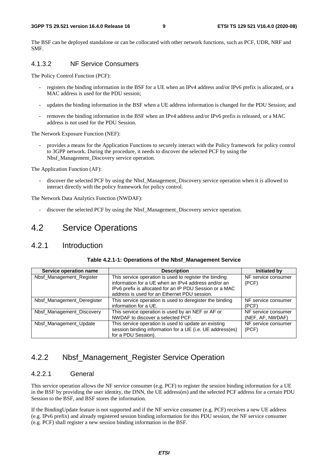The BSF can be deployed standalone or can be collocated with other network functions, such as PCF, UDR, NRF and SMF.

#### 4.1.3.2 NF Service Consumers

The Policy Control Function (PCF):

- registers the binding information in the BSF for a UE when an IPv4 address and/or IPv6 prefix is allocated, or a MAC address is used for the PDU session;
- updates the binding information in the BSF when a UE address information is changed for the PDU Session; and
- removes the binding information in the BSF when an IPv4 address and/or IPv6 prefix is released, or a MAC address is not used for the PDU Session.

The Network Exposure Function (NEF):

- provides a means for the Application Functions to securely interact with the Policy framework for policy control to 3GPP network. During the procedure, it needs to discover the selected PCF by using the Nbsf Management Discovery service operation.

The Application Function (AF):

- discover the selected PCF by using the Nbsf\_Management\_Discovery service operation when it is allowed to interact directly with the policy framework for policy control.

The Network Data Analytics Function (NWDAF):

discover the selected PCF by using the Nbsf\_Management\_Discovery service operation.

### 4.2 Service Operations

### 4.2.1 Introduction

| Service operation name     | <b>Description</b>                                        | Initiated by        |
|----------------------------|-----------------------------------------------------------|---------------------|
| Nbsf_Management_Register   | This service operation is used to register the binding    | NF service consumer |
|                            | information for a UE when an IPv4 address and/or an       | (PCF)               |
|                            | IPv6 prefix is allocated for an IP PDU Session or a MAC   |                     |
|                            | address is used for an Ethernet PDU session.              |                     |
| Nbsf_Management_Deregister | This service operation is used to deregister the binding  | NF service consumer |
|                            | information for a UE.                                     | (PCF)               |
| Nbsf_Management_Discovery  | This service operation is used by an NEF or AF or         | NF service consumer |
|                            | NWDAF to discover a selected PCF.                         | (NEF, AF, NWDAF)    |
| Nbsf_Management_Update     | This service operation is used to update an existing      | NF service consumer |
|                            | session binding information for a UE (i.e. UE address(es) | (PCF)               |
|                            | for a PDU Session).                                       |                     |

### 4.2.2 Nbsf Management Register Service Operation

#### 4.2.2.1 General

This service operation allows the NF service consumer (e.g. PCF) to register the session binding information for a UE in the BSF by providing the user identity, the DNN, the UE address(es) and the selected PCF address for a certain PDU Session to the BSF, and BSF stores the information.

If the BindingUpdate feature is not supported and if the NF service consumer (e.g. PCF) receives a new UE address (e.g. IPv6 prefix) and already registered session binding information for this PDU session, the NF service consumer (e.g. PCF) shall register a new session binding information in the BSF.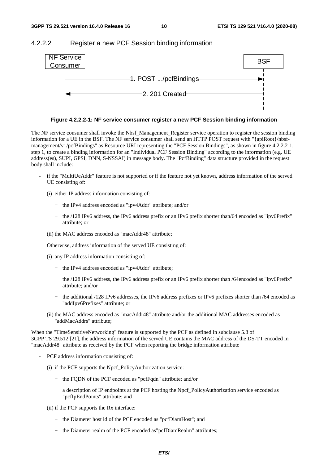#### 4.2.2.2 Register a new PCF Session binding information



**Figure 4.2.2.2-1: NF service consumer register a new PCF Session binding information** 

The NF service consumer shall invoke the Nbsf\_Management\_Register service operation to register the session binding information for a UE in the BSF. The NF service consumer shall send an HTTP POST request with "{apiRoot}/nbsfmanagement/v1/pcfBindings" as Resource URI representing the "PCF Session Bindings", as shown in figure 4.2.2.2-1, step 1, to create a binding information for an "Individual PCF Session Binding" according to the information (e.g. UE address(es), SUPI, GPSI, DNN, S-NSSAI) in message body. The "PcfBinding" data structure provided in the request body shall include:

if the "MultiUeAddr" feature is not supported or if the feature not yet known, address information of the served UE consisting of:

(i) either IP address information consisting of:

- + the IPv4 address encoded as "ipv4Addr" attribute; and/or
- + the /128 IPv6 address, the IPv6 address prefix or an IPv6 prefix shorter than/64 encoded as "ipv6Prefix" attribute; or
- (ii) the MAC address encoded as "macAddr48" attribute;

Otherwise, address information of the served UE consisting of:

- (i) any IP address information consisting of:
	- + the IPv4 address encoded as "ipv4Addr" attribute;
	- + the /128 IPv6 address, the IPv6 address prefix or an IPv6 prefix shorter than /64encoded as "ipv6Prefix" attribute; and/or
	- + the additional /128 IPv6 addresses, the IPv6 address prefixes or IPv6 prefixes shorter than /64 encoded as "addIpv6Prefixes" attribute; or
- (ii) the MAC address encoded as "macAddr48" attribute and/or the additional MAC addresses encoded as "addMacAddrs" attribute;

When the "TimeSensitiveNetworking" feature is supported by the PCF as defined in subclause 5.8 of 3GPP TS 29.512 [21], the address information of the served UE contains the MAC address of the DS-TT encoded in "macAddr48" attribute as received by the PCF when reporting the bridge information attribute

- PCF address information consisting of:
	- (i) if the PCF supports the Npcf\_PolicyAuthorization service:
		- + the FQDN of the PCF encoded as "pcfFqdn" attribute; and/or
		- + a description of IP endpoints at the PCF hosting the Npcf\_PolicyAuthorization service encoded as "pcfIpEndPoints" attribute; and
	- (ii) if the PCF supports the Rx interface:
		- + the Diameter host id of the PCF encoded as "pcfDiamHost"; and
		- + the Diameter realm of the PCF encoded as"pcfDiamRealm" attributes;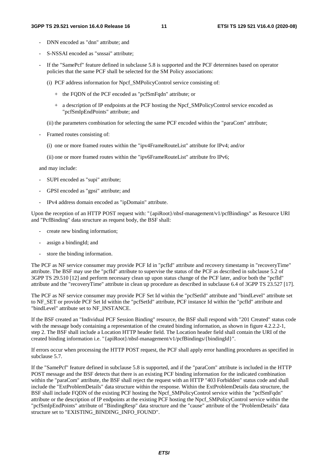- DNN encoded as "dnn" attribute; and
- S-NSSAI encoded as "snssai" attribute;
- If the "SamePcf" feature defined in subclause 5.8 is supported and the PCF determines based on operator policies that the same PCF shall be selected for the SM Policy associations:
	- (i) PCF address information for Npcf\_SMPolicyControl service consisting of:
		- + the FQDN of the PCF encoded as "pcfSmFqdn" attribute; or
		- + a description of IP endpoints at the PCF hosting the Npcf\_SMPolicyControl service encoded as "pcfSmIpEndPoints" attribute; and
	- (ii) the parameters combination for selecting the same PCF encoded within the "paraCom" attribute;
- Framed routes consisting of:
	- (i) one or more framed routes within the "ipv4FrameRouteList" attribute for IPv4; and/or
	- (ii) one or more framed routes within the "ipv6FrameRouteList" attribute fro IPv6;

and may include:

- SUPI encoded as "supi" attribute;
- GPSI encoded as "gpsi" attribute; and
- IPv4 address domain encoded as "ipDomain" attribute.

Upon the reception of an HTTP POST request with: "{apiRoot}/nbsf-management/v1/pcfBindings" as Resource URI and "PcfBinding" data structure as request body, the BSF shall:

- create new binding information;
- assign a bindingId; and
- store the binding information.

The PCF as NF service consumer may provide PCF Id in "pcfId" attribute and recovery timestamp in "recoveryTime" attribute. The BSF may use the "pcfId" attribute to supervise the status of the PCF as described in subclause 5.2 of 3GPP TS 29.510 [12] and perform necessary clean up upon status change of the PCF later, and/or both the "pcfId" attribute and the "recoveryTime" attribute in clean up procedure as described in subclause 6.4 of 3GPP TS 23.527 [17].

The PCF as NF service consumer may provide PCF Set Id within the "pcfSetId" attribute and "bindLevel" attribute set to NF\_SET or provide PCF Set Id within the "pcfSetId" attribute, PCF instance Id within the "pcfId" attribute and "bindLevel" attribute set to NF\_INSTANCE.

If the BSF created an "Individual PCF Session Binding" resource, the BSF shall respond with "201 Created" status code with the message body containing a representation of the created binding information, as shown in figure 4.2.2.2-1, step 2. The BSF shall include a Location HTTP header field. The Location header field shall contain the URI of the created binding information i.e. "{apiRoot}/nbsf-management/v1/pcfBindings/{bindingId}".

If errors occur when processing the HTTP POST request, the PCF shall apply error handling procedures as specified in subclause 5.7.

If the "SamePcf" feature defined in subclause 5.8 is supported, and if the "paraCom" attribute is included in the HTTP POST message and the BSF detects that there is an existing PCF binding information for the indicated combination within the "paraCom" attribute, the BSF shall reject the request with an HTTP "403 Forbidden" status code and shall include the "ExtProblemDetails" data structure within the response. Within the ExtProblemDetails data structure, the BSF shall include FQDN of the existing PCF hosting the Npcf\_SMPolicyControl service within the "pcfSmFqdn" attribute or the description of IP endpoints at the existing PCF hosting the Npcf\_SMPolicyControl service within the "pcfSmIpEndPoints" attribute of "BindingResp" data structure and the "cause" attribute of the "ProblemDetails" data structure set to "EXISTING\_BINDING\_INFO\_FOUND".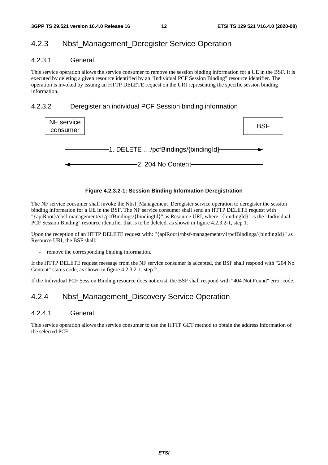### 4.2.3 Nbsf\_Management\_Deregister Service Operation

#### 4.2.3.1 General

This service operation allows the service consumer to remove the session binding information for a UE in the BSF. It is executed by deleting a given resource identified by an "Individual PCF Session Binding" resource identifier. The operation is invoked by issuing an HTTP DELETE request on the URI representing the specific session binding information.

#### 4.2.3.2 Deregister an individual PCF Session binding information



#### **Figure 4.2.3.2-1: Session Binding Information Deregistration**

The NF service consumer shall invoke the Nbsf\_Management\_Deregister service operation to deregister the session binding information for a UE in the BSF. The NF service consumer shall send an HTTP DELETE request with "{apiRoot}/nbsf-management/v1/pcfBindings/{bindingId}" as Resource URI, where "{bindingId}" is the "Individual PCF Session Binding" resource identifier that is to be deleted, as shown in figure 4.2.3.2-1, step 1.

Upon the reception of an HTTP DELETE request with: "{apiRoot}/nbsf-management/v1/pcfBindings/{bindingId}" as Resource URI, the BSF shall:

remove the corresponding binding information.

If the HTTP DELETE request message from the NF service consumer is accepted, the BSF shall respond with "204 No Content" status code, as shown in figure 4.2.3.2-1, step 2.

If the Individual PCF Session Binding resource does not exist, the BSF shall respond with "404 Not Found" error code.

### 4.2.4 Nbsf\_Management\_Discovery Service Operation

#### 4.2.4.1 General

This service operation allows the service consumer to use the HTTP GET method to obtain the address information of the selected PCF.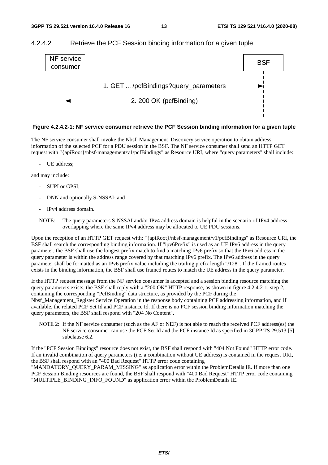#### 4.2.4.2 Retrieve the PCF Session binding information for a given tuple



#### **Figure 4.2.4.2-1: NF service consumer retrieve the PCF Session binding information for a given tuple**

The NF service consumer shall invoke the Nbsf\_Management\_Discovery service operation to obtain address information of the selected PCF for a PDU session in the BSF. The NF service consumer shall send an HTTP GET request with "{apiRoot}/nbsf-management/v1/pcfBindings" as Resource URI, where "query parameters" shall include:

UE address;

and may include:

- SUPI or GPSI;
- DNN and optionally S-NSSAI; and
- IPv4 address domain.
- NOTE: The query parameters S-NSSAI and/or IPv4 address domain is helpful in the scenario of IPv4 address overlapping where the same IPv4 address may be allocated to UE PDU sessions.

Upon the reception of an HTTP GET request with: "{apiRoot}/nbsf-management/v1/pcfBindings" as Resource URI, the BSF shall search the corresponding binding information. If "ipv6Prefix" is used as an UE IPv6 address in the query parameter, the BSF shall use the longest prefix match to find a matching IPv6 prefix so that the IPv6 address in the query parameter is within the address range covered by that matching IPv6 prefix. The IPv6 address in the query parameter shall be formatted as an IPv6 prefix value including the trailing prefix length "/128". If the framed routes exists in the binding information, the BSF shall use framed routes to match the UE address in the query parameter.

If the HTTP request message from the NF service consumer is accepted and a session binding resource matching the query parameters exists, the BSF shall reply with a "200 OK" HTTP response, as shown in figure 4.2.4.2-1, step 2, containing the corresponding "PcfBinding" data structure, as provided by the PCF during the Nbsf\_Management\_Register Service Operation in the response body containing PCF addressing information, and if available, the related PCF Set Id and PCF instance Id. If there is no PCF session binding information matching the query parameters, the BSF shall respond with "204 No Content".

NOTE 2: If the NF service consumer (such as the AF or NEF) is not able to reach the received PCF address(es) the NF service consumer can use the PCF Set Id and the PCF instance Id as specified in 3GPP TS 29.513 [5] subclause 6.2.

If the "PCF Session Bindings" resource does not exist, the BSF shall respond with "404 Not Found" HTTP error code. If an invalid combination of query parameters (i.e. a combination without UE address) is contained in the request URI, the BSF shall respond with an "400 Bad Request" HTTP error code containing

"MANDATORY\_QUERY\_PARAM\_MISSING" as application error within the ProblemDetails IE. If more than one PCF Session Binding resources are found, the BSF shall respond with "400 Bad Request" HTTP error code containing "MULTIPLE\_BINDING\_INFO\_FOUND" as application error within the ProblemDetails IE.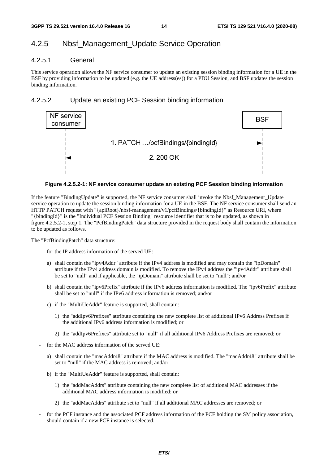### 4.2.5 Nbsf\_Management\_Update Service Operation

#### 4.2.5.1 General

This service operation allows the NF service consumer to update an existing session binding information for a UE in the BSF by providing information to be updated (e.g. the UE address(es)) for a PDU Session, and BSF updates the session binding information.

#### 4.2.5.2 Update an existing PCF Session binding information



#### **Figure 4.2.5.2-1: NF service consumer update an existing PCF Session binding information**

If the feature "BindingUpdate" is supported, the NF service consumer shall invoke the Nbsf\_Management\_Update service operation to update the session binding information for a UE in the BSF. The NF service consumer shall send an HTTP PATCH request with "{apiRoot}/nbsf-management/v1/pcfBindings/{bindingId}" as Resource URI, where "{bindingId}" is the "Individual PCF Session Binding" resource identifier that is to be updated, as shown in figure 4.2.5.2-1, step 1. The "PcfBindingPatch" data structure provided in the request body shall contain the information to be updated as follows.

The "PcfBindingPatch" data structure:

- for the IP address information of the served UE:
	- a) shall contain the "ipv4Addr" attribute if the IPv4 address is modified and may contain the "ipDomain" attribute if the IPv4 address domain is modified. To remove the IPv4 address the "ipv4Addr" attribute shall be set to "null" and if applicable, the "ipDomain" attribute shall be set to "null"; and/or
	- b) shall contain the "ipv6Prefix" attribute if the IPv6 address information is modified. The "ipv6Prefix" attribute shall be set to "null" if the IPv6 address information is removed; and/or
	- c) if the "MultiUeAddr" feature is supported, shall contain:
		- 1) the "addIpv6Prefixes" attribute containing the new complete list of additional IPv6 Address Prefixes if the additional IPv6 address information is modified; or
		- 2) the "addIpv6Prefixes" attribute set to "null" if all additional IPv6 Address Prefixes are removed; or
- for the MAC address information of the served UE:
	- a) shall contain the "macAddr48" attribute if the MAC address is modified. The "macAddr48" attribute shall be set to "null" if the MAC address is removed; and/or
	- b) if the "MultiUeAddr" feature is supported, shall contain:
		- 1) the "addMacAddrs" attribute containing the new complete list of additional MAC addresses if the additional MAC address information is modified; or
		- 2) the "addMacAddrs" attribute set to "null" if all additional MAC addresses are removed; or
- for the PCF instance and the associated PCF address information of the PCF holding the SM policy association, should contain if a new PCF instance is selected: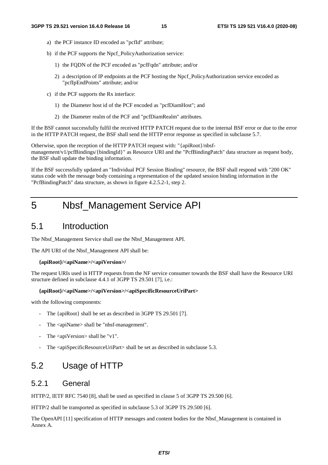- a) the PCF instance ID encoded as "pcfId" attribute;
- b) if the PCF supports the Npcf\_PolicyAuthorization service:
	- 1) the FQDN of the PCF encoded as "pcfFqdn" attribute; and/or
	- 2) a description of IP endpoints at the PCF hosting the Npcf\_PolicyAuthorization service encoded as "pcfIpEndPoints" attribute; and/or
- c) if the PCF supports the Rx interface:
	- 1) the Diameter host id of the PCF encoded as "pcfDiamHost"; and
	- 2) the Diameter realm of the PCF and "pcfDiamRealm" attributes.

If the BSF cannot successfully fulfil the received HTTP PATCH request due to the internal BSF error or due to the error in the HTTP PATCH request, the BSF shall send the HTTP error response as specified in subclause 5.7.

Otherwise, upon the reception of the HTTP PATCH request with: "{apiRoot}/nbsfmanagement/v1/pcfBindings/{bindingId}" as Resource URI and the "PcfBindingPatch" data structure as request body, the BSF shall update the binding information.

If the BSF successfully updated an "Individual PCF Session Binding" resource, the BSF shall respond with "200 OK" status code with the message body containing a representation of the updated session binding information in the "PcfBindingPatch" data structure, as shown in figure 4.2.5.2-1, step 2.

## 5 Nbsf\_Management Service API

### 5.1 Introduction

The Nbsf\_Management Service shall use the Nbsf\_Management API.

The API URI of the Nbsf\_Management API shall be:

#### **{apiRoot}/<apiName>/<apiVersion>/**

The request URIs used in HTTP requests from the NF service consumer towards the BSF shall have the Resource URI structure defined in subclause 4.4.1 of 3GPP TS 29.501 [7], i.e.:

#### **{apiRoot}/<apiName>/<apiVersion>/<apiSpecificResourceUriPart>**

with the following components:

- The {apiRoot} shall be set as described in 3GPP TS 29.501 [7].
- The <apiName> shall be "nbsf-management".
- The  $\langle$ apiVersion $\rangle$  shall be "v1".
- The <apiSpecificResourceUriPart> shall be set as described in subclause 5.3.

### 5.2 Usage of HTTP

### 5.2.1 General

HTTP/2, IETF RFC 7540 [8], shall be used as specified in clause 5 of 3GPP TS 29.500 [6].

HTTP/2 shall be transported as specified in subclause 5.3 of 3GPP TS 29.500 [6].

The OpenAPI [11] specification of HTTP messages and content bodies for the Nbsf\_Management is contained in Annex A.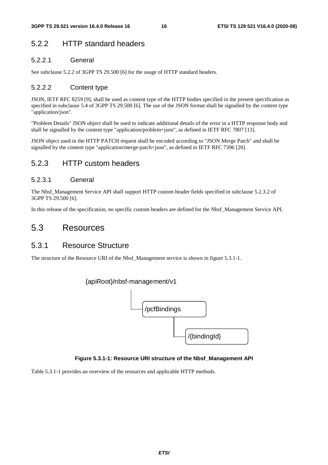### 5.2.2 HTTP standard headers

#### 5.2.2.1 General

See subclause 5.2.2 of 3GPP TS 29.500 [6] for the usage of HTTP standard headers.

#### 5.2.2.2 Content type

JSON, IETF RFC 8259 [9], shall be used as content type of the HTTP bodies specified in the present specification as specified in subclause 5.4 of 3GPP TS 29.500 [6]. The use of the JSON format shall be signalled by the content type "application/json".

"Problem Details" JSON object shall be used to indicate additional details of the error in a HTTP response body and shall be signalled by the content type "application/problem+json", as defined in IETF RFC 7807 [13].

JSON object used in the HTTP PATCH request shall be encoded according to "JSON Merge Patch" and shall be signalled by the content type "application/merge-patch+json", as defined in IETF RFC 7396 [20].

### 5.2.3 HTTP custom headers

#### 5.2.3.1 General

The Nbsf\_Management Service API shall support HTTP custom header fields specified in subclause 5.2.3.2 of 3GPP TS 29.500 [6].

In this release of the specification, no specific custom headers are defined for the Nbsf\_Management Service API.

### 5.3 Resources

### 5.3.1 Resource Structure

The structure of the Resource URI of the Nbsf\_Management service is shown in figure 5.3.1-1.



#### **Figure 5.3.1-1: Resource URI structure of the Nbsf\_Management API**

Table 5.3.1-1 provides an overview of the resources and applicable HTTP methods.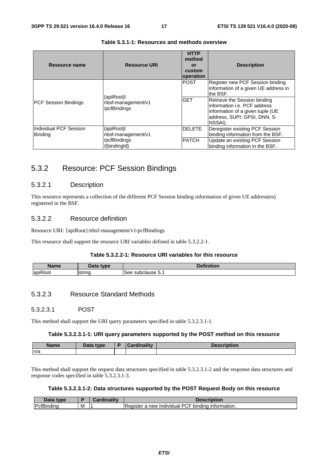| Resource name                            | <b>Resource URI</b>                                              | <b>HTTP</b><br>method<br>or<br>custom<br>operation | <b>Description</b>                                                                                                                                                                                                                   |
|------------------------------------------|------------------------------------------------------------------|----------------------------------------------------|--------------------------------------------------------------------------------------------------------------------------------------------------------------------------------------------------------------------------------------|
| <b>PCF Session Bindings</b>              | {apiRoot}/<br>nbsf-management/v1<br>/pcfBindings                 | <b>POST</b><br><b>GET</b>                          | Register new PCF Session binding<br>information of a given UE address in<br>the BSF.<br>Retrieve the Session binding<br>linformation i.e. PCF address<br>information of a given tuple (UE<br>address, SUPI; GPSI, DNN, S-<br>NSSAI). |
| Individual PCF Session<br><b>Binding</b> | {apiRoot}/<br>nbsf-management/v1<br>/pcfBindings<br>/{bindingld} | <b>DELETE</b><br><b>PATCH</b>                      | Deregister existing PCF Session<br>binding information from the BSF.<br>Update an existing PCF Session<br>binding information in the BSF.                                                                                            |

#### **Table 5.3.1-1: Resources and methods overview**

### 5.3.2 Resource: PCF Session Bindings

#### 5.3.2.1 Description

This resource represents a collection of the different PCF Session binding information of given UE address(es) registered in the BSF.

#### 5.3.2.2 Resource definition

Resource URI: {apiRoot}/nbsf-management/v1/pcfBindings

This resource shall support the resource URI variables defined in table 5.3.2.2-1.

#### **Table 5.3.2.2-1: Resource URI variables for this resource**

| <b>Name</b>                            | type   | .<br>$-11$<br>.<br>ווטו |
|----------------------------------------|--------|-------------------------|
| $\overline{\phantom{a}}$<br>api<br>JOT | string | subclause 5.<br>$\cdot$ |

#### 5.3.2.3 Resource Standard Methods

#### 5.3.2.3.1 POST

This method shall support the URI query parameters specified in table 5.3.2.3.1-1.

#### **Table 5.3.2.3.1-1: URI query parameters supported by the POST method on this resource**

| <b>Name</b> | Data type | ardinalitv: | <b>Description</b> |
|-------------|-----------|-------------|--------------------|
| n/a         |           |             |                    |

This method shall support the request data structures specified in table 5.3.2.3.1-2 and the response data structures and response codes specified in table 5.3.2.3.1-3.

#### **Table 5.3.2.3.1-2: Data structures supported by the POST Request Body on this resource**

| $-1-$<br>tvne                 |   | . |                                                                                                                      |
|-------------------------------|---|---|----------------------------------------------------------------------------------------------------------------------|
| DofRi<br>ınd<br>лпинк<br>- اب | м |   | $\cdots$<br>Dſ<br>-<br>new<br><i>formation.</i><br><b>binding</b><br>$\cdot$<br>⊦Register<br>Individual<br>шк<br>⊣ ب |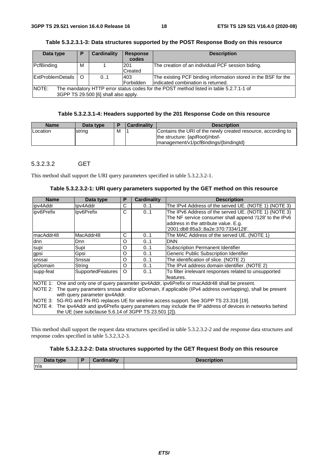| Data type                                                                                       | P       | <b>Cardinality</b> | <b>Response</b> | <b>Description</b>                                             |
|-------------------------------------------------------------------------------------------------|---------|--------------------|-----------------|----------------------------------------------------------------|
|                                                                                                 |         |                    | codes           |                                                                |
| PcfBinding                                                                                      | м       |                    | 201             | The creation of an individual PCF session biding.              |
|                                                                                                 |         |                    | Created         |                                                                |
| ExtProblemDetails                                                                               | $\circ$ | 0.1                | 403             | The existing PCF binding information stored in the BSF for the |
|                                                                                                 |         |                    | Forbidden       | lindicated combination is returned.                            |
| NOTE:<br>The mandatory HTTP error status codes for the POST method listed in table 5.2.7.1-1 of |         |                    |                 |                                                                |
| 3GPP TS 29.500 [6] shall also apply.                                                            |         |                    |                 |                                                                |

**Table 5.3.2.3.1-3: Data structures supported by the POST Response Body on this resource** 

#### **Table 5.3.2.3.1-4: Headers supported by the 201 Response Code on this resource**

| <b>Name</b> | Data type |   | <b>Cardinality</b> | <b>Description</b>                                                                                                                       |
|-------------|-----------|---|--------------------|------------------------------------------------------------------------------------------------------------------------------------------|
| Location    | string    | M |                    | Contains the URI of the newly created resource, according to<br>the structure: {apiRoot}/nbsf-<br> management/v1/pcfBindings/{bindingld} |

#### 5.3.2.3.2 GET

This method shall support the URI query parameters specified in table 5.3.2.3.2-1.

| <b>Name</b>      | Data type                                                                                 | P | <b>Cardinality</b> | <b>Description</b>                                                                                              |  |  |
|------------------|-------------------------------------------------------------------------------------------|---|--------------------|-----------------------------------------------------------------------------------------------------------------|--|--|
| lipv4Addr        | Ipv4Addr                                                                                  | С | 01                 | The IPv4 Address of the served UE. (NOTE 1) (NOTE 3)                                                            |  |  |
| ipv6Prefix       | Ipv6Prefix                                                                                | C | 0.1                | The IPv6 Address of the served UE. (NOTE 1) (NOTE 3)                                                            |  |  |
|                  |                                                                                           |   |                    | The NF service consumer shall append '/128' to the IPv6                                                         |  |  |
|                  |                                                                                           |   |                    | address in the attribute value. E.g.                                                                            |  |  |
|                  |                                                                                           |   |                    | '2001:db8:85a3::8a2e:370:7334/128'.                                                                             |  |  |
| ImacAddr48       | IMacAddr48                                                                                | C | 0.1                | The MAC Address of the served UE. (NOTE 1)                                                                      |  |  |
| dnn              | Dnn                                                                                       | O | 01                 | <b>DNN</b>                                                                                                      |  |  |
| supi             | Supi                                                                                      | O | 0.1                | Subscription Permanent Identifier                                                                               |  |  |
| gpsi             | Gpsi                                                                                      | O | 0.1                | Generic Public Subscription Identifier                                                                          |  |  |
| snssai           | Snssai                                                                                    | O | 0.1                | The identification of slice. (NOTE 2)                                                                           |  |  |
| <b>lipDomain</b> | String                                                                                    | O | 01                 | The IPv4 address domain identifier. (NOTE 2)                                                                    |  |  |
| supp-feat        | SupportedFeatures                                                                         | O | 01                 | To filter irrelevant responses related to unsupported                                                           |  |  |
|                  |                                                                                           |   |                    | features.                                                                                                       |  |  |
|                  |                                                                                           |   |                    | NOTE 1: One and only one of query parameter ipv4Addr, ipv6Prefix or macAddr48 shall be present.                 |  |  |
|                  |                                                                                           |   |                    | NOTE 2: The query parameters snssai and/or ipDomain, if applicable (IPv4 address overlapping), shall be present |  |  |
|                  | with query parameter ipv4Addr.                                                            |   |                    |                                                                                                                 |  |  |
|                  | NOTE 3: 5G-RG and FN-RG replaces UE for wireline access support. See 3GPP TS 23.316 [19]. |   |                    |                                                                                                                 |  |  |
|                  |                                                                                           |   |                    | NOTE 4: The ipv4Addr and ipv6Prefix query parameters may include the IP address of devices in networks behind   |  |  |
|                  | the UE (see subclause 5.6.14 of 3GPP TS 23.501 [2]).                                      |   |                    |                                                                                                                 |  |  |

This method shall support the request data structures specified in table 5.3.2.3.2-2 and the response data structures and response codes specified in table 5.3.2.3.2-3.

#### **Table 5.3.2.3.2-2: Data structures supported by the GET Request Body on this resource**

| Data type | وحافا المرجونا | <b>Description</b> |
|-----------|----------------|--------------------|
| n/a       |                |                    |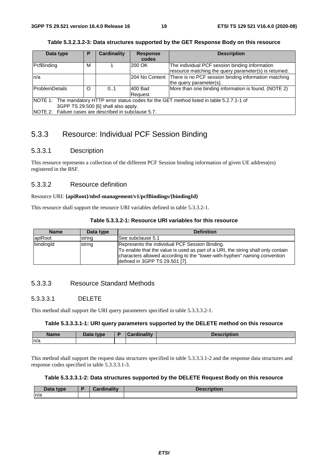| Data type                                                                                     | Р | <b>Cardinality</b> | <b>Response</b> | <b>Description</b>                                    |  |  |  |
|-----------------------------------------------------------------------------------------------|---|--------------------|-----------------|-------------------------------------------------------|--|--|--|
|                                                                                               |   |                    | codes           |                                                       |  |  |  |
| PcfBinding                                                                                    | М |                    | 200 OK          | The individual PCF session binding information        |  |  |  |
|                                                                                               |   |                    |                 | resource matching the query parameter(s) is returned. |  |  |  |
| ln/a                                                                                          |   |                    | 204 No Content  | There is no PCF session binding information matching  |  |  |  |
|                                                                                               |   |                    |                 | the query parameter(s).                               |  |  |  |
| ProblemDetails                                                                                | O | 0.1                | 1400 Bad        | More than one binding information is found. (NOTE 2)  |  |  |  |
|                                                                                               |   |                    | Reauest         |                                                       |  |  |  |
| NOTE 1: The mandatory HTTP error status codes for the GET method listed in table 5.2.7.1-1 of |   |                    |                 |                                                       |  |  |  |
| 3GPP TS 29.500 [6] shall also apply.                                                          |   |                    |                 |                                                       |  |  |  |
| NOTE 2: Failure cases are described in subclause 5.7.                                         |   |                    |                 |                                                       |  |  |  |

#### **Table 5.3.2.3.2-3: Data structures supported by the GET Response Body on this resource**

### 5.3.3 Resource: Individual PCF Session Binding

#### 5.3.3.1 Description

This resource represents a collection of the different PCF Session binding information of given UE address(es) registered in the BSF.

#### 5.3.3.2 Resource definition

#### Resource URI: **{apiRoot}/nbsf-management/v1/pcfBindings/{bindingId}**

This resource shall support the resource URI variables defined in table 5.3.3.2-1.

| <b>Name</b> | Data type | <b>Definition</b>                                                                                                                                                                                                                                 |
|-------------|-----------|---------------------------------------------------------------------------------------------------------------------------------------------------------------------------------------------------------------------------------------------------|
| apiRoot     | string    | See subclause 5.1                                                                                                                                                                                                                                 |
| bindingId   | string    | Represents the individual PCF Session Binding.<br>To enable that the value is used as part of a URI, the string shall only contain<br>characters allowed according to the "lower-with-hyphen" naming convention<br>defined in 3GPP TS 29.501 [7]. |

#### 5.3.3.3 Resource Standard Methods

#### 5.3.3.3.1 DELETE

This method shall support the URI query parameters specified in table 5.3.3.3.2-1.

#### **Table 5.3.3.3.1-1: URI query parameters supported by the DELETE method on this resource**

| <b>Name</b> | <b>Data type</b><br>Dala | .<br><b>STATISTICS</b><br>ano litr | $\blacksquare$<br><b>DESCRIPTION</b> |
|-------------|--------------------------|------------------------------------|--------------------------------------|
| n/a         |                          |                                    |                                      |

This method shall support the request data structures specified in table 5.3.3.3.1-2 and the response data structures and response codes specified in table 5.3.3.3.1-3.

#### **Table 5.3.3.3.1-2: Data structures supported by the DELETE Request Body on this resource**

| Data type | Cordinality<br>Cardinality | <b>Description</b> |
|-----------|----------------------------|--------------------|
| n/a       |                            |                    |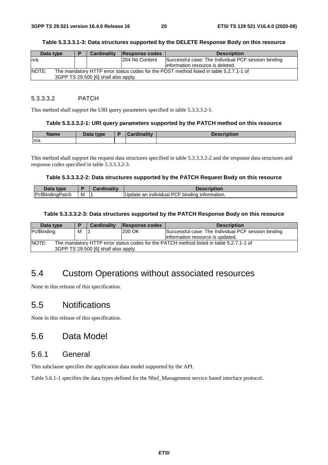#### **Table 5.3.3.3.1-3: Data structures supported by the DELETE Response Body on this resource**

| Data type                                                                                                                                      |  | <b>Cardinality</b> | Response codes  | <b>Description</b>                                                                       |
|------------------------------------------------------------------------------------------------------------------------------------------------|--|--------------------|-----------------|------------------------------------------------------------------------------------------|
| ln/a                                                                                                                                           |  |                    | 1204 No Content | Successful case: The Individual PCF session binding<br>linformation resource is deleted. |
| <b>NOTE:</b><br>The mandatory HTTP error status codes for the POST method listed in table 5.2.7.1-1 of<br>3GPP TS 29.500 [6] shall also apply. |  |                    |                 |                                                                                          |

#### 5.3.3.3.2 PATCH

This method shall support the URI query parameters specified in table 5.3.3.3.2-1.

#### **Table 5.3.3.3.2-1: URI query parameters supported by the PATCH method on this resource**

| <b>Name</b> | Data type | <b>Cardinality</b> | <b>Description</b> |
|-------------|-----------|--------------------|--------------------|
| n/a         |           |                    |                    |

This method shall support the request data structures specified in table 5.3.3.3.2-2 and the response data structures and response codes specified in table 5.3.3.3.2-3.

#### **Table 5.3.3.3.2-2: Data structures supported by the PATCH Request Body on this resource**

| Data<br>type           |   | .<br>Cardinality | <b>Description</b>                                                    |
|------------------------|---|------------------|-----------------------------------------------------------------------|
| <b>PcfBindingPatch</b> | M |                  | ، PCF<br>information.<br><b>Update</b><br>bindina<br>an<br>individual |

#### **Table 5.3.3.3.2-3: Data structures supported by the PATCH Response Body on this resource**

| Data type    |                                                                                                                                 | <b>Cardinality</b> | Response codes | <b>Description</b>                                  |  |
|--------------|---------------------------------------------------------------------------------------------------------------------------------|--------------------|----------------|-----------------------------------------------------|--|
| PcfBinding   | м                                                                                                                               |                    | <b>200 OK</b>  | Successful case: The Individual PCF session binding |  |
|              |                                                                                                                                 |                    |                | information resource is updated.                    |  |
| <b>NOTE:</b> | The mandatory HTTP error status codes for the PATCH method listed in table 5.2.7.1-1 of<br>3GPP TS 29.500 [6] shall also apply. |                    |                |                                                     |  |

# 5.4 Custom Operations without associated resources

None in this release of this specification.

### 5.5 Notifications

None in this release of this specification.

### 5.6 Data Model

### 5.6.1 General

This subclause specifies the application data model supported by the API.

Table 5.6.1-1 specifies the data types defined for the Nbsf\_Management service based interface protocol.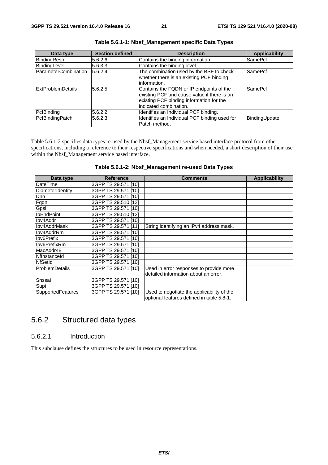| Data type                | <b>Section defined</b> | <b>Description</b>                                                                                                                                            | <b>Applicability</b> |
|--------------------------|------------------------|---------------------------------------------------------------------------------------------------------------------------------------------------------------|----------------------|
| BindingResp              | 5.6.2.6                | Contains the binding information.                                                                                                                             | <b>SamePcf</b>       |
| BindingLevel             | 5.6.3.3                | Contains the binding level.                                                                                                                                   |                      |
| ParameterCombination     | 5.6.2.4                | The combination used by the BSF to check<br>whether there is an existing PCF binding<br>information.                                                          | <b>SamePcf</b>       |
| <b>ExtProblemDetails</b> | 5.6.2.5                | Contains the FQDN or IP endpoints of the<br>existing PCF and cause value if there is an<br>existing PCF binding information for the<br>indicated combination. | SamePcf              |
| PcfBinding               | 5.6.2.2                | Identifies an Individual PCF binding.                                                                                                                         |                      |
| PcfBindingPatch          | 5.6.2.3                | Identifies an Individual PCF binding used for<br>Patch method.                                                                                                | BindingUpdate        |

**Table 5.6.1-1: Nbsf\_Management specific Data Types** 

Table 5.6.1-2 specifies data types re-used by the Nbsf\_Management service based interface protocol from other specifications, including a reference to their respective specifications and when needed, a short description of their use within the Nbsf\_Management service based interface.

| Table 5.6.1-2: Nbsf_Management re-used Data Types |  |  |  |
|---------------------------------------------------|--|--|--|
|---------------------------------------------------|--|--|--|

| Data type             | <b>Reference</b>    | <b>Comments</b>                            | <b>Applicability</b> |
|-----------------------|---------------------|--------------------------------------------|----------------------|
| <b>DateTime</b>       | 3GPP TS 29.571 [10] |                                            |                      |
| DiameterIdentity      | 3GPP TS 29.571 [10] |                                            |                      |
| <b>D</b> nn           | 3GPP TS 29.571 [10] |                                            |                      |
| Fqdn                  | 3GPP TS 29.510 [12] |                                            |                      |
| Gpsi                  | 3GPP TS 29.571 [10] |                                            |                      |
| <b>IpEndPoint</b>     | 3GPP TS 29.510 [12] |                                            |                      |
| Ipv4Addr              | 3GPP TS 29.571 [10] |                                            |                      |
| Ipv4AddrMask          | 3GPP TS 29.571 [11] | String identifying an IPv4 address mask.   |                      |
| Ipv4AddrRm            | 3GPP TS 29.571 [10] |                                            |                      |
| Ipv6Prefix            | 3GPP TS 29.571 [10] |                                            |                      |
| Ipv6PrefixRm          | 3GPP TS 29.571 [10] |                                            |                      |
| MacAddr48             | 3GPP TS 29.571 [10] |                                            |                      |
| Nflnstanceld          | 3GPP TS 29.571 [10] |                                            |                      |
| <b>NfSetId</b>        | 3GPP TS 29.571 [10] |                                            |                      |
| <b>ProblemDetails</b> | 3GPP TS 29.571 [10] | Used in error responses to provide more    |                      |
|                       |                     | detailed information about an error.       |                      |
| Snssai                | 3GPP TS 29.571 [10] |                                            |                      |
| Supi                  | 3GPP TS 29.571 [10] |                                            |                      |
| SupportedFeatures     | 3GPP TS 29.571 [10] | Used to negotiate the applicability of the |                      |
|                       |                     | optional features defined in table 5.8-1.  |                      |

### 5.6.2 Structured data types

#### 5.6.2.1 Introduction

This subclause defines the structures to be used in resource representations.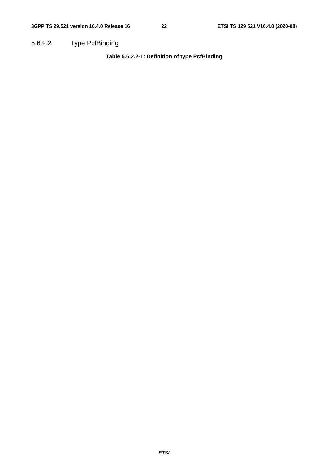5.6.2.2 Type PcfBinding

**Table 5.6.2.2-1: Definition of type PcfBinding**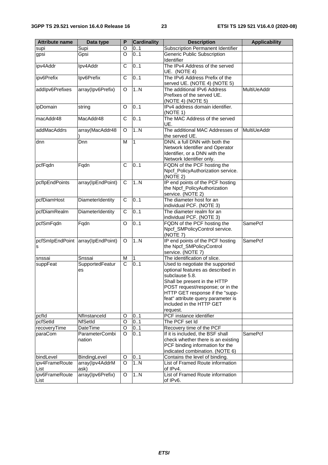| <b>Attribute name</b> | Data type                         | P             | <b>Cardinality</b> | <b>Description</b>                                                     | <b>Applicability</b> |
|-----------------------|-----------------------------------|---------------|--------------------|------------------------------------------------------------------------|----------------------|
| supi                  | Supi                              | O             | 0.1                | Subscription Permanent Identifier                                      |                      |
| gpsi                  | Gpsi                              | $\circ$       | 0.1                | Generic Public Subscription                                            |                      |
|                       |                                   |               |                    | Identifier                                                             |                      |
| ipv4Addr              | Ipv4Addr                          | C             | 0.1                | The IPv4 Address of the served                                         |                      |
|                       |                                   |               |                    | UE. (NOTE 4)                                                           |                      |
| ipv6Prefix            | Ipv6Prefix                        | C             | 0.1                | The IPv6 Address Prefix of the                                         |                      |
| addlpv6Prefixes       | array(Ipv6Prefix)                 | O             | 1.N                | served UE. (NOTE 4) (NOTE 5)<br>The additional IPv6 Address            | MultiUeAddr          |
|                       |                                   |               |                    | Prefixes of the served UE.                                             |                      |
|                       |                                   |               |                    | (NOTE 4) (NOTE 5)                                                      |                      |
| ipDomain              | string                            | O             | 0.1                | IPv4 address domain identifier.                                        |                      |
|                       |                                   |               |                    | (NOTE 1)                                                               |                      |
| macAddr48             | MacAddr48                         | C             | 0.1                | The MAC Address of the served                                          |                      |
|                       |                                   |               |                    | UE.                                                                    |                      |
| addMacAddrs           | array(MacAddr48                   | O             | 1N                 | The additional MAC Addresses of<br>the served UE.                      | MultiUeAddr          |
| dnn                   | Dnn                               | М             | 1                  | DNN, a full DNN with both the                                          |                      |
|                       |                                   |               |                    | Network Identifier and Operator                                        |                      |
|                       |                                   |               |                    | Identifier, or a DNN with the                                          |                      |
|                       |                                   |               |                    | Network Identifier only.                                               |                      |
| pcfFqdn               | Fqdn                              | C             | 0.1                | FQDN of the PCF hosting the                                            |                      |
|                       |                                   |               |                    | Npcf_PolicyAuthorization service.                                      |                      |
|                       |                                   |               |                    | (NOTE 2)                                                               |                      |
| pcflpEndPoints        | array(IpEndPoint)                 | C             | 1N                 | IP end points of the PCF hosting<br>the Npcf_PolicyAuthorization       |                      |
|                       |                                   |               |                    | service. (NOTE 2)                                                      |                      |
| pcfDiamHost           | DiameterIdentity                  | C             | 0.1                | The diameter host for an                                               |                      |
|                       |                                   |               |                    | individual PCF. (NOTE 3)                                               |                      |
| pcfDiamRealm          | DiameterIdentity                  | C             | 0.1                | The diameter realm for an                                              |                      |
|                       |                                   |               |                    | individual PCF. (NOTE 3)                                               |                      |
| pcfSmFqdn             | Fqdn                              | O             | 0.1                | FQDN of the PCF hosting the                                            | SamePcf              |
|                       |                                   |               |                    | Npcf_SMPolicyControl service.                                          |                      |
|                       | pcfSmlpEndPoint array(IpEndPoint) | O             | 1.N                | (NOTE 7)<br>IP end points of the PCF hosting                           | <b>SamePcf</b>       |
| s                     |                                   |               |                    | the Npcf_SMPolicyControl                                               |                      |
|                       |                                   |               |                    | service. (NOTE 7)                                                      |                      |
| snssai                | Snssai                            | M             | $\mathbf{1}$       | The identification of slice.                                           |                      |
| suppFeat              | SupportedFeatur                   | $\mathsf{C}$  | 0.1                | Used to negotiate the supported                                        |                      |
|                       | es                                |               |                    | optional features as described in                                      |                      |
|                       |                                   |               |                    | subclause 5.8.                                                         |                      |
|                       |                                   |               |                    | Shall be present in the HTTP<br>POST request/response; or in the       |                      |
|                       |                                   |               |                    | HTTP GET response if the "supp-                                        |                      |
|                       |                                   |               |                    | feat" attribute query parameter is                                     |                      |
|                       |                                   |               |                    | included in the HTTP GET                                               |                      |
|                       |                                   |               |                    | request.                                                               |                      |
| pcfld                 | Nflnstanceld                      | O             | 01                 | PCF instance identifier                                                |                      |
| pcfSetId              | <b>NfSetId</b>                    | O             | 0.1                | The PCF set Id                                                         |                      |
| recoveryTime          | <b>DateTime</b><br>ParameterCombi | O<br>$\Omega$ | 01                 | Recovery time of the PCF                                               | <b>SamePcf</b>       |
| paraCom               | nation                            |               | 0.1                | If it is included, the BSF shall<br>check whether there is an existing |                      |
|                       |                                   |               |                    | PCF binding information for the                                        |                      |
|                       |                                   |               |                    | indicated combination. (NOTE 6)                                        |                      |
| bindLevel             | BindingLevel                      | O             | 0.1                | Contains the level of binding.                                         |                      |
| ipv4FrameRoute        | array(Ipv4AddrM                   | O             | 1N                 | List of Framed Route information                                       |                      |
| List                  | ask)                              |               |                    | of IPv4.                                                               |                      |
| ipv6FrameRoute        | array(Ipv6Prefix)                 | O             | 1N                 | List of Framed Route information                                       |                      |
| List                  |                                   |               |                    | of IPv6.                                                               |                      |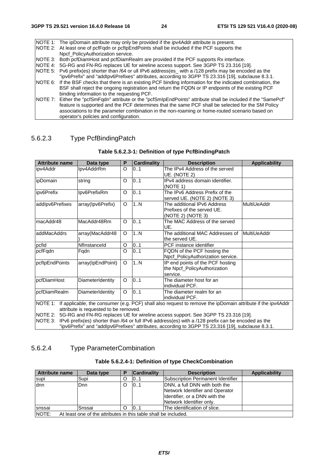| NOTE 1: The ipDomain attribute may only be provided if the ipv4Addr attribute is present.                       |
|-----------------------------------------------------------------------------------------------------------------|
| NOTE 2: At least one of pcfFqdn or pcfIpEndPoints shall be included if the PCF supports the                     |
| Npcf PolicyAuthorization service.                                                                               |
| NOTE 3: Both pcfDiamHost and pcfDiamRealm are provided if the PCF supports Rx interface.                        |
| NOTE 4: 5G-RG and FN-RG replaces UE for wireline access support. See 3GPP TS 23.316 [19].                       |
| NOTE 5: Pv6 prefix(es) shorter than /64 or ull IPv6 address(es_ with a /128 prefix may be encoded as the        |
| "ipv6Prefix" and "addlpv6Prefixes" attributes, according to 3GPP TS 23.316 [19], subclause 8.3.1.               |
| NOTE 6: If the BSF checks that there is an existing PCF binding information for the indicated combination, the  |
| BSF shall reject the ongoing registration and return the FQDN or IP endpoints of the existing PCF               |
| binding information to the requesting PCF.                                                                      |
| NOTE 7: Either the "pcfSmFqdn" attribute or the "pcfSmIpEndPoints" attribute shall be included if the "SamePcf" |
| feature is supported and the PCF determines that the same PCF shall be selected for the SM Policy               |
| associations to the parameter combination in the non-roaming or home-routed scenario based on                   |
| operator's policies and configuration.                                                                          |

### 5.6.2.3 Type PcfBindingPatch

| <b>Attribute name</b>                                                                                                                                                 | Data type         | P | <b>Cardinality</b> | <b>Description</b>                                                             | <b>Applicability</b> |  |
|-----------------------------------------------------------------------------------------------------------------------------------------------------------------------|-------------------|---|--------------------|--------------------------------------------------------------------------------|----------------------|--|
| ipv4Addr                                                                                                                                                              | Ipv4AddrRm        | O | 01                 | The IPv4 Address of the served<br>UE. (NOTE 2)                                 |                      |  |
| ipDomain                                                                                                                                                              | string            | O | 0.1                | IPv4 address domain identifier.<br>(NOTE 1)                                    |                      |  |
| ipv6Prefix                                                                                                                                                            | Ipv6PrefixRm      | O | 0.1                | The IPv6 Address Prefix of the<br>served UE. (NOTE 2) (NOTE 3)                 |                      |  |
| addlpv6Prefixes                                                                                                                                                       | array(Ipv6Prefix) | O | 1N                 | The additional IPv6 Address<br>Prefixes of the served UE.<br>(NOTE 2) (NOTE 3) | MultiUeAddr          |  |
| macAddr48                                                                                                                                                             | MacAddr48Rm       | O | 0.1                | The MAC Address of the served<br>UE.                                           |                      |  |
| addMacAddrs                                                                                                                                                           | array(MacAddr48   | O | 1N                 | The additional MAC Addresses of<br>the served UE.                              | <b>MultiUeAddr</b>   |  |
| pcfid                                                                                                                                                                 | Nflnstanceld      | O | 0.1                | PCF instance identifier                                                        |                      |  |
| pcfFqdn                                                                                                                                                               | Fqdn              | O | 0.1                | FQDN of the PCF hosting the<br>Npcf_PolicyAuthorization service.               |                      |  |
| pcflpEndPoints                                                                                                                                                        | array(IpEndPoint) | O | 1N                 | IP end points of the PCF hosting<br>the Npcf PolicyAuthorization<br>service.   |                      |  |
| pcfDiamHost                                                                                                                                                           | DiameterIdentity  | O | 0.1                | The diameter host for an<br>individual PCF.                                    |                      |  |
| pcfDiamRealm                                                                                                                                                          | DiameterIdentity  | O | 0.1                | The diameter realm for an<br>individual PCF.                                   |                      |  |
| If applicable, the consumer (e.g. PCF) shall also request to remove the ipDomain attribute if the ipv4Addr<br><b>NOTE 1:</b><br>attribute is requested to be removed. |                   |   |                    |                                                                                |                      |  |
| NOTE 2:<br>5G-RG and FN-RG replaces UE for wireline access support. See 3GPP TS 23.316 [19].                                                                          |                   |   |                    |                                                                                |                      |  |
| IPv6 prefix(es) shorter than /64 or full IPv6 address(es) with a /128 prefix can be encoded as the<br>INOTE 3:                                                        |                   |   |                    |                                                                                |                      |  |
| "ipv6Prefix" and "addlpv6Prefixes" attributes, according to 3GPP TS 23.316 [19], subclause 8.3.1.                                                                     |                   |   |                    |                                                                                |                      |  |

#### **Table 5.6.2.3-1: Definition of type PcfBindingPatch**

### 5.6.2.4 Type ParameterCombination

| <b>Attribute name</b>                                                    | Data type |   | <b>Cardinality</b> | <b>Description</b>                | <b>Applicability</b> |
|--------------------------------------------------------------------------|-----------|---|--------------------|-----------------------------------|----------------------|
| supi                                                                     | Supi      | O | 01                 | Subscription Permanent Identifier |                      |
| dnn                                                                      | Dnn.      | O | 10.1               | DNN, a full DNN with both the     |                      |
|                                                                          |           |   |                    | Network Identifier and Operator   |                      |
|                                                                          |           |   |                    | Identifier, or a DNN with the     |                      |
|                                                                          |           |   |                    | Network Identifier only.          |                      |
| Isnssai                                                                  | Snssai    | O | 0.1                | The identification of slice.      |                      |
| NOTE:<br>At least one of the attributes in this table shall be included. |           |   |                    |                                   |                      |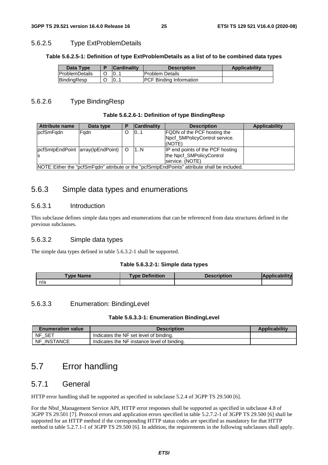#### 5.6.2.5 Type ExtProblemDetails

#### **Table 5.6.2.5-1: Definition of type ExtProblemDetails as a list of to be combined data types**

| Data Type              | <b>Cardinality</b> | <b>Description</b>              | <b>Applicability</b> |
|------------------------|--------------------|---------------------------------|----------------------|
| <b>IProblemDetails</b> | $\vert 0$          | <b>IProblem Details</b>         |                      |
| BindingResp            | 10                 | <b>IPCF Binding Information</b> |                      |

#### 5.6.2.6 Type BindingResp

#### **Table 5.6.2.6-1: Definition of type BindingResp**

| <b>Attribute name</b>                                                                         | Data type                              |   | <b>Cardinality</b> | <b>Description</b>                                                              | <b>Applicability</b> |
|-----------------------------------------------------------------------------------------------|----------------------------------------|---|--------------------|---------------------------------------------------------------------------------|----------------------|
| pcfSmFqdn                                                                                     | Fadn                                   | Ω | 101                | <b>FQDN</b> of the PCF hosting the<br>Npcf_SMPolicyControl service.<br>(NOTE)   |                      |
|                                                                                               | pcfSmlpEndPoint  array(lpEndPoint)   O |   | 1N                 | IP end points of the PCF hosting<br>the Npcf_SMPolicyControl<br>service. (NOTE) |                      |
| NOTE: Either the "pcfSmFqdn" attribute or the "pcfSmIpEndPoints" attribute shall be included. |                                        |   |                    |                                                                                 |                      |

### 5.6.3 Simple data types and enumerations

#### 5.6.3.1 Introduction

This subclause defines simple data types and enumerations that can be referenced from data structures defined in the previous subclauses.

#### 5.6.3.2 Simple data types

The simple data types defined in table 5.6.3.2-1 shall be supported.

#### **Table 5.6.3.2-1: Simple data types**

| 'ype Name' | <b>Type Definition</b> | <b>Description</b> | ilitv<br>lApr |
|------------|------------------------|--------------------|---------------|
| n/a        |                        |                    |               |

#### 5.6.3.3 Enumeration: BindingLevel

#### **Table 5.6.3.3-1: Enumeration BindingLevel**

| <b>Enumeration value</b> | <b>Description</b>                          | <b>Applicability</b> |
|--------------------------|---------------------------------------------|----------------------|
| NF<br>- SET              | Indicates the NF set level of binding.      |                      |
| NF<br>INSTANCE           | Indicates the NF instance level of binding. |                      |

### 5.7 Error handling

### 5.7.1 General

HTTP error handling shall be supported as specified in subclause 5.2.4 of 3GPP TS 29.500 [6].

For the Nbsf\_Management Service API, HTTP error responses shall be supported as specified in subclause 4.8 of 3GPP TS 29.501 [7]. Protocol errors and application errors specified in table 5.2.7.2-1 of 3GPP TS 29.500 [6] shall be supported for an HTTP method if the corresponding HTTP status codes are specified as mandatory for that HTTP method in table 5.2.7.1-1 of 3GPP TS 29.500 [6]. In addition, the requirements in the following subclauses shall apply.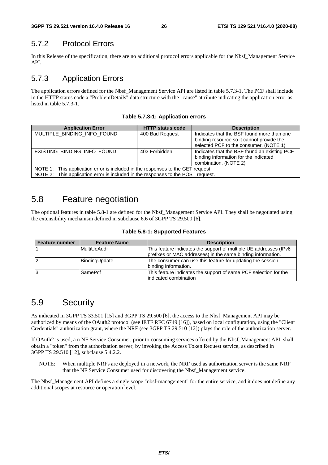### 5.7.2 Protocol Errors

In this Release of the specification, there are no additional protocol errors applicable for the Nbsf\_Management Service API.

### 5.7.3 Application Errors

The application errors defined for the Nbsf\_Management Service API are listed in table 5.7.3-1. The PCF shall include in the HTTP status code a "ProblemDetails" data structure with the "cause" attribute indicating the application error as listed in table 5.7.3-1.

|  |  | Table 5.7.3-1: Application errors |  |
|--|--|-----------------------------------|--|
|--|--|-----------------------------------|--|

| <b>Application Error</b>                                                         | <b>HTTP status code</b> | <b>Description</b>                           |  |  |  |
|----------------------------------------------------------------------------------|-------------------------|----------------------------------------------|--|--|--|
| MULTIPLE_BINDING_INFO_FOUND                                                      | 400 Bad Request         | Indicates that the BSF found more than one   |  |  |  |
|                                                                                  |                         | binding resource so it cannot provide the    |  |  |  |
|                                                                                  |                         | selected PCF to the consumer. (NOTE 1)       |  |  |  |
| EXISTING BINDING INFO FOUND                                                      | 403 Forbidden           | Indicates that the BSF found an existing PCF |  |  |  |
|                                                                                  |                         | binding information for the indicated        |  |  |  |
|                                                                                  |                         | combination. (NOTE 2)                        |  |  |  |
| NOTE 1: This application error is included in the responses to the GET request.  |                         |                                              |  |  |  |
| NOTE 2: This application error is included in the responses to the POST request. |                         |                                              |  |  |  |

### 5.8 Feature negotiation

The optional features in table 5.8-1 are defined for the Nbsf\_Management Service API. They shall be negotiated using the extensibility mechanism defined in subclause 6.6 of 3GPP TS 29.500 [6].

| <b>Feature number</b> | <b>Feature Name</b> | <b>Description</b>                                                                                                               |
|-----------------------|---------------------|----------------------------------------------------------------------------------------------------------------------------------|
|                       | MultiUeAddr         | This feature indicates the support of multiple UE addresses (IPv6<br>prefixes or MAC addresses) in the same binding information. |
|                       | BindingUpdate       | The consumer can use this feature for updating the session<br>binding information.                                               |
| 3                     | SamePcf             | This feature indicates the support of same PCF selection for the<br>lindicated combination                                       |

# 5.9 Security

As indicated in 3GPP TS 33.501 [15] and 3GPP TS 29.500 [6], the access to the Nbsf\_Management API may be authorized by means of the OAuth2 protocol (see IETF RFC 6749 [16]), based on local configuration, using the "Client Credentials" authorization grant, where the NRF (see 3GPP TS 29.510 [12]) plays the role of the authorization server.

If OAuth2 is used, a n NF Service Consumer, prior to consuming services offered by the Nbsf\_Management API, shall obtain a "token" from the authorization server, by invoking the Access Token Request service, as described in 3GPP TS 29.510 [12], subclause 5.4.2.2.

NOTE: When multiple NRFs are deployed in a network, the NRF used as authorization server is the same NRF that the NF Service Consumer used for discovering the Nbsf\_Management service.

The Nbsf\_Management API defines a single scope "nbsf-management" for the entire service, and it does not define any additional scopes at resource or operation level.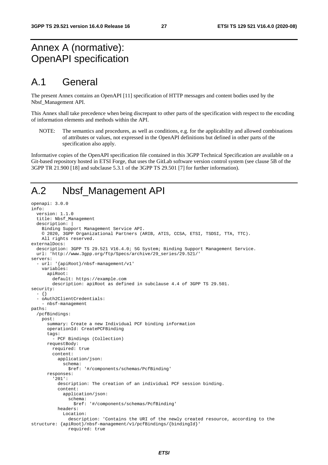# Annex A (normative): OpenAPI specification

# A.1 General

The present Annex contains an OpenAPI [11] specification of HTTP messages and content bodies used by the Nbsf\_Management API.

This Annex shall take precedence when being discrepant to other parts of the specification with respect to the encoding of information elements and methods within the API.

NOTE: The semantics and procedures, as well as conditions, e.g. for the applicability and allowed combinations of attributes or values, not expressed in the OpenAPI definitions but defined in other parts of the specification also apply.

Informative copies of the OpenAPI specification file contained in this 3GPP Technical Specification are available on a Git-based repository hosted in ETSI Forge, that uses the GitLab software version control system (see clause 5B of the 3GPP TR 21.900 [18] and subclause 5.3.1 of the 3GPP TS 29.501 [7] for further information).

# A.2 Nbsf\_Management API

```
openapi: 3.0.0 
info: 
   version: 1.1.0 
   title: Nbsf_Management 
   description: | 
     Binding Support Management Service API. 
     © 2020, 3GPP Organizational Partners (ARIB, ATIS, CCSA, ETSI, TSDSI, TTA, TTC). 
     All rights reserved. 
externalDocs: 
   description: 3GPP TS 29.521 V16.4.0; 5G System; Binding Support Management Service. 
   url: 'http://www.3gpp.org/ftp/Specs/archive/29_series/29.521/' 
servers: 
   - url: '{apiRoot}/nbsf-management/v1' 
     variables: 
       apiRoot: 
         default: https://example.com 
         description: apiRoot as defined in subclause 4.4 of 3GPP TS 29.501. 
security: 
   - {} 
   - oAuth2ClientCredentials: 
     - nbsf-management 
paths: 
   /pcfBindings: 
     post: 
       summary: Create a new Individual PCF binding information 
       operationId: CreatePCFBinding 
       tags: 
         - PCF Bindings (Collection) 
       requestBody: 
         required: true 
         content: 
           application/json: 
              schema: 
                $ref: '#/components/schemas/PcfBinding' 
       responses: 
          '201': 
           description: The creation of an individual PCF session binding. 
            content: 
              application/json: 
                schema: 
                  $ref: '#/components/schemas/PcfBinding' 
           headers: 
              Location: 
                description: 'Contains the URI of the newly created resource, according to the 
structure: {apiRoot}/nbsf-management/v1/pcfBindings/{bindingId}' 
                required: true
```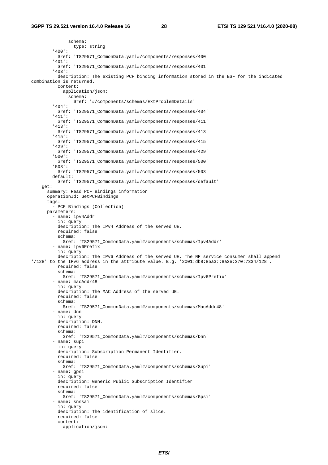schema: type: string '400': \$ref: 'TS29571\_CommonData.yaml#/components/responses/400' '401': \$ref: 'TS29571\_CommonData.yaml#/components/responses/401' '403': description: The existing PCF binding information stored in the BSF for the indicated combination is returned. content: application/json: schema: \$ref: '#/components/schemas/ExtProblemDetails' '404': \$ref: 'TS29571\_CommonData.yaml#/components/responses/404' '411': \$ref: 'TS29571\_CommonData.yaml#/components/responses/411' '413': \$ref: 'TS29571\_CommonData.yaml#/components/responses/413' '415': \$ref: 'TS29571\_CommonData.yaml#/components/responses/415' '429': \$ref: 'TS29571\_CommonData.yaml#/components/responses/429' '500': \$ref: 'TS29571\_CommonData.yaml#/components/responses/500' '503': \$ref: 'TS29571\_CommonData.yaml#/components/responses/503' default: \$ref: 'TS29571\_CommonData.yaml#/components/responses/default' get: summary: Read PCF Bindings information operationId: GetPCFBindings tags: - PCF Bindings (Collection) parameters: - name: ipv4Addr in: query description: The IPv4 Address of the served UE. required: false schema: \$ref: 'TS29571\_CommonData.yaml#/components/schemas/Ipv4Addr' - name: ipv6Prefix in: query description: The IPv6 Address of the served UE. The NF service consumer shall append '/128' to the IPv6 address in the attribute value. E.g. '2001:db8:85a3::8a2e:370:7334/128'. required: false schema: \$ref: 'TS29571\_CommonData.yaml#/components/schemas/Ipv6Prefix' - name: macAddr48 in: query description: The MAC Address of the served UE. required: false schema: \$ref: 'TS29571\_CommonData.yaml#/components/schemas/MacAddr48' - name: dnn in: query description: DNN. required: false schema: \$ref: 'TS29571\_CommonData.yaml#/components/schemas/Dnn' - name: supi in: query description: Subscription Permanent Identifier. required: false schema: \$ref: 'TS29571\_CommonData.yaml#/components/schemas/Supi' - name: gpsi in: query description: Generic Public Subscription Identifier required: false schema: \$ref: 'TS29571\_CommonData.yaml#/components/schemas/Gpsi' - name: snssai in: query description: The identification of slice. required: false content: application/json: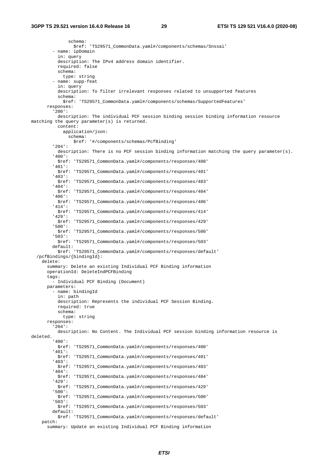schema: \$ref: 'TS29571\_CommonData.yaml#/components/schemas/Snssai' - name: ipDomain in: query description: The IPv4 address domain identifier. required: false schema: type: string - name: supp-feat in: query description: To filter irrelevant responses related to unsupported features schema: \$ref: 'TS29571\_CommonData.yaml#/components/schemas/SupportedFeatures' responses: '200': description: The individual PCF session binding session binding information resource matching the query parameter(s) is returned. content: application/json: schema: \$ref: '#/components/schemas/PcfBinding' '204': description: There is no PCF session binding information matching the query parameter(s). '400': \$ref: 'TS29571\_CommonData.yaml#/components/responses/400' '401': \$ref: 'TS29571\_CommonData.yaml#/components/responses/401' '403': \$ref: 'TS29571\_CommonData.yaml#/components/responses/403' '404': \$ref: 'TS29571\_CommonData.yaml#/components/responses/404' '406': \$ref: 'TS29571\_CommonData.yaml#/components/responses/406' '414': \$ref: 'TS29571\_CommonData.yaml#/components/responses/414' '429': \$ref: 'TS29571\_CommonData.yaml#/components/responses/429' '500': \$ref: 'TS29571\_CommonData.yaml#/components/responses/500' '503': \$ref: 'TS29571\_CommonData.yaml#/components/responses/503' default: \$ref: 'TS29571\_CommonData.yaml#/components/responses/default' /pcfBindings/{bindingId}: delete: summary: Delete an existing Individual PCF Binding information operationId: DeleteIndPCFBinding tags: - Individual PCF Binding (Document) parameters: - name: bindingId in: path description: Represents the individual PCF Session Binding. required: true schema: type: string responses: '204': description: No Content. The Individual PCF session binding information resource is deleted. '400': \$ref: 'TS29571\_CommonData.yaml#/components/responses/400' '401': \$ref: 'TS29571\_CommonData.yaml#/components/responses/401' '403': \$ref: 'TS29571\_CommonData.yaml#/components/responses/403' '404': \$ref: 'TS29571\_CommonData.yaml#/components/responses/404' '429': \$ref: 'TS29571\_CommonData.yaml#/components/responses/429' '500': \$ref: 'TS29571\_CommonData.yaml#/components/responses/500' '503': \$ref: 'TS29571\_CommonData.yaml#/components/responses/503' default: \$ref: 'TS29571\_CommonData.yaml#/components/responses/default' patch: summary: Update an existing Individual PCF Binding information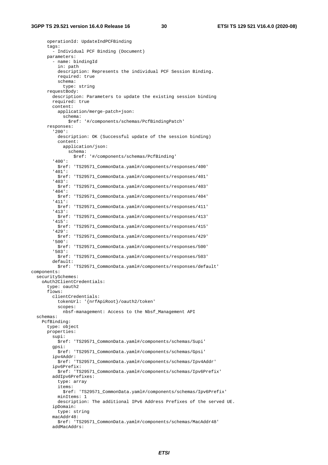operationId: UpdateIndPCFBinding tags: - Individual PCF Binding (Document) parameters: - name: bindingId in: path description: Represents the individual PCF Session Binding. required: true schema: type: string requestBody: description: Parameters to update the existing session binding required: true content: application/merge-patch+json: schema: \$ref: '#/components/schemas/PcfBindingPatch' responses: '200': description: OK (Successful update of the session binding) content: application/json: schema: \$ref: '#/components/schemas/PcfBinding' '400': \$ref: 'TS29571\_CommonData.yaml#/components/responses/400' '401': \$ref: 'TS29571\_CommonData.yaml#/components/responses/401' '403': \$ref: 'TS29571\_CommonData.yaml#/components/responses/403' '404': \$ref: 'TS29571\_CommonData.yaml#/components/responses/404' '411': \$ref: 'TS29571\_CommonData.yaml#/components/responses/411' '413': \$ref: 'TS29571\_CommonData.yaml#/components/responses/413' '415': \$ref: 'TS29571\_CommonData.yaml#/components/responses/415' '429': \$ref: 'TS29571\_CommonData.yaml#/components/responses/429' '500': \$ref: 'TS29571\_CommonData.yaml#/components/responses/500' '503': \$ref: 'TS29571\_CommonData.yaml#/components/responses/503' default: \$ref: 'TS29571\_CommonData.yaml#/components/responses/default' components: securitySchemes: oAuth2ClientCredentials: type: oauth2 flows: clientCredentials: tokenUrl: '{nrfApiRoot}/oauth2/token' scopes: nbsf-management: Access to the Nbsf\_Management API schemas: PcfBinding: type: object properties: supi: \$ref: 'TS29571\_CommonData.yaml#/components/schemas/Supi' gpsi: \$ref: 'TS29571\_CommonData.yaml#/components/schemas/Gpsi' ipv4Addr: \$ref: 'TS29571\_CommonData.yaml#/components/schemas/Ipv4Addr' ipv6Prefix: \$ref: 'TS29571\_CommonData.yaml#/components/schemas/Ipv6Prefix' addIpv6Prefixes: type: array items: \$ref: 'TS29571\_CommonData.yaml#/components/schemas/Ipv6Prefix' minItems: 1 description: The additional IPv6 Address Prefixes of the served UE. ipDomain: type: string macAddr48: \$ref: 'TS29571\_CommonData.yaml#/components/schemas/MacAddr48' addMacAddrs: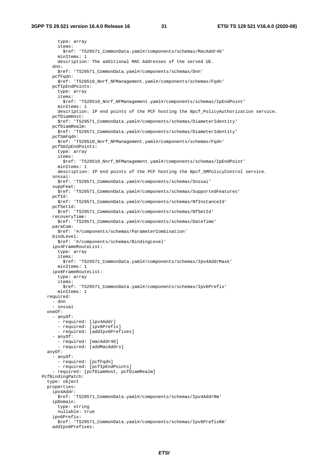type: array items: \$ref: 'TS29571\_CommonData.yaml#/components/schemas/MacAddr48' minItems: 1 description: The additional MAC Addresses of the served UE. dnn: \$ref: 'TS29571\_CommonData.yaml#/components/schemas/Dnn' pcfFqdn: \$ref: 'TS29510\_Nnrf\_NFManagement.yaml#/components/schemas/Fqdn' pcfIpEndPoints: type: array items: \$ref: 'TS29510\_Nnrf\_NFManagement.yaml#/components/schemas/IpEndPoint' minItems: 1 description: IP end points of the PCF hosting the Npcf\_PolicyAuthorization service. pcfDiamHost: \$ref: 'TS29571\_CommonData.yaml#/components/schemas/DiameterIdentity' pcfDiamRealm: \$ref: 'TS29571\_CommonData.yaml#/components/schemas/DiameterIdentity' pcfSmFqdn: \$ref: 'TS29510\_Nnrf\_NFManagement.yaml#/components/schemas/Fqdn' pcfSmIpEndPoints: type: array items: \$ref: 'TS29510\_Nnrf\_NFManagement.yaml#/components/schemas/IpEndPoint' minItems: 1 description: IP end points of the PCF hosting the Npcf\_SMPolicyControl service. snssai: \$ref: 'TS29571\_CommonData.yaml#/components/schemas/Snssai' suppFeat: \$ref: 'TS29571\_CommonData.yaml#/components/schemas/SupportedFeatures' pcfId: \$ref: 'TS29571\_CommonData.yaml#/components/schemas/NfInstanceId' pcfSetId: \$ref: 'TS29571\_CommonData.yaml#/components/schemas/NfSetId' recoveryTime: \$ref: 'TS29571\_CommonData.yaml#/components/schemas/DateTime' paraCom: \$ref: '#/components/schemas/ParameterCombination' bindLevel: \$ref: '#/components/schemas/BindingLevel' ipv4FrameRouteList: type: array items: \$ref: 'TS29571\_CommonData.yaml#/components/schemas/Ipv4AddrMask' minItems: 1 ipv6FrameRouteList: type: array items: \$ref: 'TS29571\_CommonData.yaml#/components/schemas/Ipv6Prefix' minItems: 1 required: - dnn - snssai oneOf: - anyOf: - required: [ipv4Addr] - required: [ipv6Prefix] - required: [addIpv6Prefixes] - anyOf: - required: [macAddr48] - required: [addMacAddrs] anyOf: - anyOf: - required: [pcfFqdn] - required: [pcfIpEndPoints] - required: [pcfDiamHost, pcfDiamRealm] PcfBindingPatch: type: object properties: ipv4Addr: \$ref: 'TS29571\_CommonData.yaml#/components/schemas/Ipv4AddrRm' ipDomain: type: string nullable: true ipv6Prefix: \$ref: 'TS29571\_CommonData.yaml#/components/schemas/Ipv6PrefixRm' addIpv6Prefixes: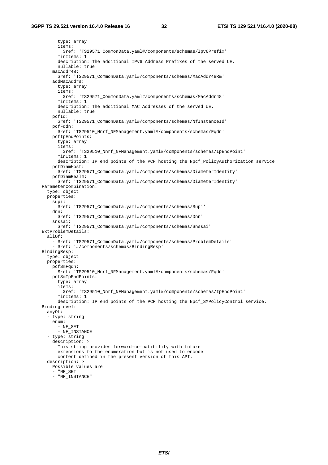type: array items: \$ref: 'TS29571\_CommonData.yaml#/components/schemas/Ipv6Prefix' minItems: 1 description: The additional IPv6 Address Prefixes of the served UE. nullable: true macAddr48: \$ref: 'TS29571\_CommonData.yaml#/components/schemas/MacAddr48Rm' addMacAddrs: type: array items: \$ref: 'TS29571\_CommonData.yaml#/components/schemas/MacAddr48' minItems: 1 description: The additional MAC Addresses of the served UE. nullable: true pcfId: \$ref: 'TS29571\_CommonData.yaml#/components/schemas/NfInstanceId' pcfFqdn: \$ref: 'TS29510\_Nnrf\_NFManagement.yaml#/components/schemas/Fqdn' pcfIpEndPoints: type: array items: \$ref: 'TS29510\_Nnrf\_NFManagement.yaml#/components/schemas/IpEndPoint' minItems: 1 description: IP end points of the PCF hosting the Npcf\_PolicyAuthorization service. pcfDiamHost: \$ref: 'TS29571\_CommonData.yaml#/components/schemas/DiameterIdentity' pcfDiamRealm: \$ref: 'TS29571\_CommonData.yaml#/components/schemas/DiameterIdentity' ParameterCombination: type: object properties: supi: \$ref: 'TS29571\_CommonData.yaml#/components/schemas/Supi' dnn: \$ref: 'TS29571\_CommonData.yaml#/components/schemas/Dnn' snssai: \$ref: 'TS29571\_CommonData.yaml#/components/schemas/Snssai' ExtProblemDetails: allOf: - \$ref: 'TS29571\_CommonData.yaml#/components/schemas/ProblemDetails' - \$ref: '#/components/schemas/BindingResp' BindingResp: type: object properties: pcfSmFqdn: \$ref: 'TS29510\_Nnrf\_NFManagement.yaml#/components/schemas/Fqdn' pcfSmIpEndPoints: type: array items: \$ref: 'TS29510\_Nnrf\_NFManagement.yaml#/components/schemas/IpEndPoint' minItems: 1 description: IP end points of the PCF hosting the Npcf\_SMPolicyControl service. BindingLevel: anyOf: - type: string enum: - NF\_SET - NF\_INSTANCE - type: string description: > This string provides forward-compatibility with future extensions to the enumeration but is not used to encode content defined in the present version of this API. description: > Possible values are - "NF\_SET" - "NF\_INSTANCE"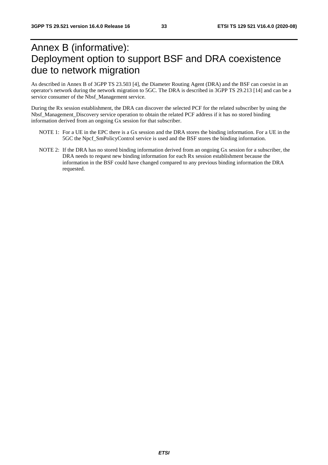# Annex B (informative): Deployment option to support BSF and DRA coexistence due to network migration

As described in Annex B of 3GPP TS 23.503 [4], the Diameter Routing Agent (DRA) and the BSF can coexist in an operator's network during the network migration to 5GC. The DRA is described in 3GPP TS 29.213 [14] and can be a service consumer of the Nbsf\_Management service.

During the Rx session establishment, the DRA can discover the selected PCF for the related subscriber by using the Nbsf\_Management\_Discovery service operation to obtain the related PCF address if it has no stored binding information derived from an ongoing Gx session for that subscriber.

- NOTE 1: For a UE in the EPC there is a Gx session and the DRA stores the binding information. For a UE in the 5GC the Npcf\_SmPolicyControl service is used and the BSF stores the binding information.
- NOTE 2: If the DRA has no stored binding information derived from an ongoing Gx session for a subscriber, the DRA needs to request new binding information for each Rx session establishment because the information in the BSF could have changed compared to any previous binding information the DRA requested.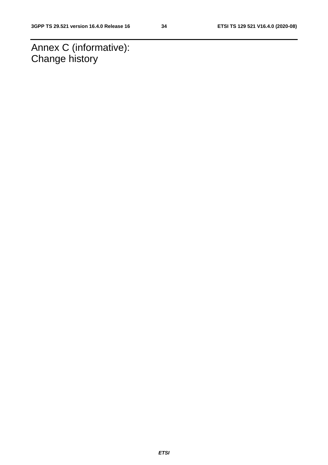Annex C (informative): Change history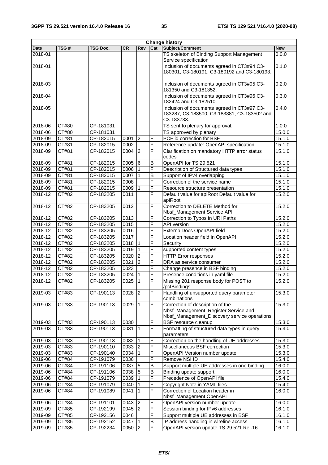| <b>Change history</b> |       |           |           |                |                         |                                                                                                          |            |
|-----------------------|-------|-----------|-----------|----------------|-------------------------|----------------------------------------------------------------------------------------------------------|------------|
| <b>Date</b>           | TSG#  | TSG Doc.  | <b>CR</b> | <b>Rev</b>     | Cat                     | Subject/Comment                                                                                          | <b>New</b> |
| 2018-01               |       |           |           |                |                         | TS skeleton of Binding Support Management                                                                | 0.0.0      |
|                       |       |           |           |                |                         | Service specification                                                                                    |            |
| 2018-01               |       |           |           |                |                         | Inclusion of documents agreed in CT3#94 C3-<br>180301, C3-180191, C3-180192 and C3-180193.               | 0.1.0      |
| 2018-03               |       |           |           |                |                         | Inclusion of documents agreed in CT3#95 C3-<br>181350 and C3-181352.                                     | 0.2.0      |
| 2018-04               |       |           |           |                |                         | Inclusion of documents agreed in CT3#96 C3-<br>182424 and C3-182510.                                     | 0.3.0      |
| 2018-05               |       |           |           |                |                         | Inclusion of documents agreed in CT3#97 C3-<br>183287, C3-183500, C3-183881, C3-183502 and<br>C3-183733. | 0.4.0      |
| 2018-06               | CT#80 | CP-181031 |           |                |                         | TS sent to plenary for approval.                                                                         | 1.0.0      |
| 2018-06               | CT#80 | CP-181031 |           |                |                         | TS approved by plenary                                                                                   | 15.0.0     |
| 2018-09               | CT#81 | CP-182015 | 0001      | $\overline{2}$ | F                       | PCF id correction for BSF                                                                                | 15.1.0     |
| 2018-09               | CT#81 | CP-182015 | 0002      |                | F                       | Reference update: OpenAPI specification                                                                  | 15.1.0     |
| 2018-09               | CT#81 | CP-182015 | 0004      | 2              | F                       | Clarification on mandatory HTTP error status<br>codes                                                    | 15.1.0     |
| 2018-09               | CT#81 | CP-182015 | 0005      | 6              | В                       | OpenAPI for TS 29.521                                                                                    | 15.1.0     |
| 2018-09               | CT#81 | CP-182015 | 0006      |                | F                       | Description of Structured data types                                                                     | 15.1.0     |
| 2018-09               | CT#81 | CP-182015 | 0007      | $\mathbf{1}$   | $\overline{B}$          | Support of IPv4 overlapping                                                                              | 15.1.0     |
| 2018-09               | CT#81 | CP-182015 | 0008      |                | F                       | Correction of the service name                                                                           | 15.1.0     |
| 2018-09               | CT#81 | CP-182015 | 0009      | $\mathbf 1$    | F                       | Resource structure presentation                                                                          | 15.1.0     |
| 2018-12               | CT#82 | CP-183205 | 0011      |                | F                       | Default value for apiRoot Default value for<br>apiRoot                                                   | 15.2.0     |
| 2018-12               | CT#82 | CP-183205 | 0012      |                | F                       | Correction to DELETE Method for<br>Nbsf_Management Service API                                           | 15.2.0     |
| 2018-12               | CT#82 | CP-183205 | 0013      |                | F                       | Correction to Typos in URI Paths                                                                         | 15.2.0     |
| 2018-12               | CT#82 | CP-183205 | 0015      |                | F                       | API version                                                                                              | 15.2.0     |
| 2018-12               | CT#82 | CP-183205 | 0016      |                | F                       | ExternalDocs OpenAPI field                                                                               | 15.2.0     |
| 2018-12               | CT#82 | CP-183205 | 0017      |                | F                       | Location header field in OpenAPI                                                                         | 15.2.0     |
| 2018-12               | CT#82 | CP-183205 | 0018      | 1              | F                       | Security                                                                                                 | 15.2.0     |
| 2018-12               | CT#82 | CP-183205 | 0019      |                | F                       | supported content types                                                                                  | 15.2.0     |
| 2018-12               | CT#82 | CP-183205 | 0020      | $\overline{2}$ | F                       | <b>HTTP Error responses</b>                                                                              | 15.2.0     |
| 2018-12               | CT#82 | CP-183205 | 0021      | $\overline{2}$ | F                       | DRA as service consumer                                                                                  | 15.2.0     |
| 2018-12               | CT#82 | CP-183205 | 0023      |                | F                       | Change presence in BSF binding                                                                           | 15.2.0     |
| 2018-12               | CT#82 | CP-183205 | 0024      | 1              | F                       | Presence conditions in yaml file                                                                         | 15.2.0     |
| 2018-12               | CT#82 | CP-183205 | 0025      | 1              | $\overline{\mathsf{F}}$ | Missing 201 response body for POST to<br>/pcfBindings                                                    | 15.2.0     |
| 2019-03               | CT#83 | CP-190113 | $0028$ 2  |                | F                       | Handling of unsupported query parameter<br>combinations                                                  | 15.3.0     |
| 2019-03               | CT#83 | CP-190113 | 0029      | $\vert$ 1      | F                       | Correction of description of the<br>Nbsf_Management_Register Service and                                 | 15.3.0     |
|                       |       |           |           |                |                         | Nbsf_Management_Discovery service operations                                                             |            |
| 2019-03               | CT#83 | CP-190113 | 0030      |                | F                       | BSF resource cleanup                                                                                     | 15.3.0     |
| 2019-03               | CT#83 | CP-190113 | 0031      | $\overline{1}$ | F                       | Formatting of structured data types in query<br>parameters                                               | 15.3.0     |
| 2019-03               | CT#83 | CP-190113 | 0032      | $\overline{1}$ | F                       | Correction on the handling of UE addresses                                                               | 15.3.0     |
| 2019-03               | CT#83 | CP-190110 | 0033      | $\overline{2}$ | F                       | Miscellaneous BSF correction                                                                             | 15.3.0     |
| 2019-03               | CT#83 | CP-190140 | 0034      | 1              | F                       | OpenAPI Version number update                                                                            | 15.3.0     |
| 2019-06               | CT#84 | CP-191079 | 0036      |                | F                       | Remove NSI ID                                                                                            | 15.4.0     |
| 2019-06               | CT#84 | CP-191106 | 0037      | 5              | B                       | Support multiple UE addresses in one binding                                                             | 16.0.0     |
| 2019-06               | CT#84 | CP-191106 | 0038      | 5              | B                       | Binding update support                                                                                   | 16.0.0     |
| 2019-06               | CT#84 | CP-191079 | 0039      |                | F                       | Precedence of OpenAPI file                                                                               | 15.4.0     |
| 2019-06               | CT#84 | CP-191079 | 0040      |                | $\overline{F}$          | Copyright Note in YAML files                                                                             | 15.4.0     |
| 2019-06               | CT#84 | CP-191089 | 0041      | 1              | F                       | Correction of Location header in<br>Nbsf_Management OpenAPI                                              | 16.0.0     |
| 2019-06               | CT#84 | CP-191101 | 0043      | <sup>2</sup>   | F                       | OpenAPI version number update                                                                            | 16.0.0     |
| 2019-09               | CT#85 | CP-192199 | 0045      | 2              | F                       | Session binding for IPv6 addresses                                                                       | 16.1.0     |
| 2019-09               | CT#85 | CP-192156 | 0046      |                | F                       | Support multiple UE addresses in BSF                                                                     | 16.1.0     |
| 2019-09               | CT#85 | CP-192152 | 0047      |                | $\sf B$                 | IP address handling in wireline access                                                                   | 16.1.0     |
| 2019-09               | CT#85 | CP-192234 | 0050      | 12             | F                       | OpenAPI version update TS 29.521 Rel-16                                                                  | 16.1.0     |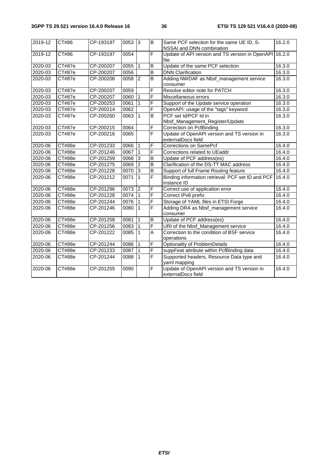| 2019-12 | CT#86         | CP-193197 | 0053 | $\overline{3}$ | B                       | Same PCF selection for the same UE ID, S-<br>NSSAI and DNN combination | 16.2.0 |
|---------|---------------|-----------|------|----------------|-------------------------|------------------------------------------------------------------------|--------|
| 2019-12 | CT#86         | CP-193197 | 0054 |                | $\overline{F}$          | Update of API version and TS version in OpenAPI 16.2.0<br>file         |        |
| 2020-03 | CT#87e        | CP-200207 | 0055 | $\mathbf 1$    | B                       | Update of the same PCF selection                                       | 16.3.0 |
| 2020-03 | CT#87e        | CP-200207 | 0056 |                | B                       | <b>DNN Clarification</b>                                               | 16.3.0 |
| 2020-03 | CT#87e        | CP-200208 | 0058 | $\overline{2}$ | B                       | Adding NWDAF as Nbsf_management service<br>consumer                    | 16.3.0 |
| 2020-03 | CT#87e        | CP-200207 | 0059 |                | F                       | Resolve editor note for PATCH                                          | 16.3.0 |
| 2020-03 | CT#87e        | CP-200207 | 0060 |                | $\overline{\mathsf{F}}$ | Miscellaneous errors                                                   | 16.3.0 |
| 2020-03 | CT#87e        | CP-200253 | 0061 |                | $\overline{F}$          | Support of the Update service operation                                | 16.3.0 |
| 2020-03 | CT#87e        | CP-200214 | 0062 |                | F                       | OpenAPI: usage of the "tags" keyword                                   | 16.3.0 |
| 2020-03 | CT#87e        | CP-200260 | 0063 | $\overline{1}$ | B                       | PCF set Id/PCF Id in<br>Nbsf_Management_Register/Update                | 16.3.0 |
| 2020-03 | CT#87e        | CP-200215 | 0064 |                | $\overline{F}$          | Correction on PcfBinding                                               | 16.3.0 |
| 2020-03 | <b>CT#87e</b> | CP-200216 | 0065 |                | F                       | Update of OpenAPI version and TS version in<br>externalDocs field      | 16.3.0 |
| 2020-06 | CT#88e        | CP-201233 | 0066 | $\overline{1}$ | F                       | <b>Corrections on SamePcf</b>                                          | 16.4.0 |
| 2020-06 | CT#88e        | CP-201246 | 0067 | ∣1             | F                       | Corrections related to UEaddr                                          | 16.4.0 |
| 2020-06 | CT#88e        | CP-201259 | 0068 | دی             | $\overline{B}$          | Update of PCF address(es)                                              | 16.4.0 |
| 2020-06 | CT#88e        | CP-201275 | 0069 | $\overline{2}$ | B                       | Clarification of the DS-TT MAC address                                 | 16.4.0 |
| 2020-06 | CT#88e        | CP-201228 | 0070 | 3              | $\overline{B}$          | Support of full Frame Routing feature                                  | 16.4.0 |
| 2020-06 | CT#88e        | CP-201212 | 0071 | $\mathbf{1}$   | F                       | Binding information retrieval: PCF set ID and PCF<br>instance ID       | 16.4.0 |
| 2020-06 | CT#88e        | CP-201296 | 0073 | $\overline{2}$ | $\overline{F}$          | Correct use of application error                                       | 16.4.0 |
| 2020-06 | CT#88e        | CP-201228 | 0074 |                | F                       | Correct IPv6 prefix                                                    | 16.4.0 |
| 2020-06 | CT#88e        | CP-201244 | 0076 |                | F                       | Storage of YAML files in ETSI Forge                                    | 16.4.0 |
| 2020-06 | CT#88e        | CP-201246 | 0080 | $\mathbf 1$    | F                       | Adding DRA as Nbsf_management service<br>consumer                      | 16.4.0 |
| 2020-06 | CT#88e        | CP-201258 | 0081 | $\mathbf{1}$   | B                       | Update of PCF address(es)                                              | 16.4.0 |
| 2020-06 | CT#88e        | CP-201256 | 0083 | $\mathbf{1}$   | $\overline{F}$          | URI of the Nbsf_Management service                                     | 16.4.0 |
| 2020-06 | CT#88e        | CP-201222 | 0085 | $\mathbf{1}$   | $\overline{A}$          | Correction to the condition of BSF service<br>operations               | 16.4.0 |
| 2020-06 | CT#88e        | CP-201244 | 0086 |                | F                       | Optionality of ProblemDetails                                          | 16.4.0 |
| 2020-06 | CT#88e        | CP-201233 | 0087 |                | F                       | suppFeat attribute within PcfBinding data                              | 16.4.0 |
| 2020-06 | CT#88e        | CP-201244 | 0088 | ∣1             | $\overline{\mathsf{F}}$ | Supported headers, Resource Data type and<br>yaml mapping              | 16.4.0 |
| 2020-06 | CT#88e        | CP-201255 | 0090 |                | F                       | Update of OpenAPI version and TS version in<br>externalDocs field      | 16.4.0 |